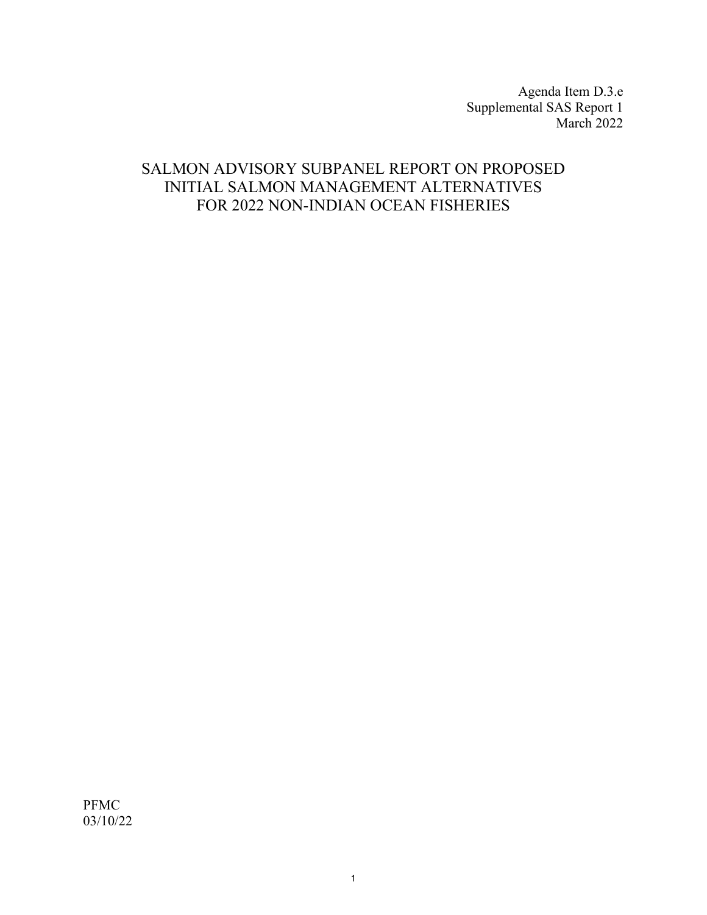Agenda Item D.3.e Supplemental SAS Report 1 March 2022

# SALMON ADVISORY SUBPANEL REPORT ON PROPOSED INITIAL SALMON MANAGEMENT ALTERNATIVES FOR 2022 NON-INDIAN OCEAN FISHERIES

PFMC 03/10/22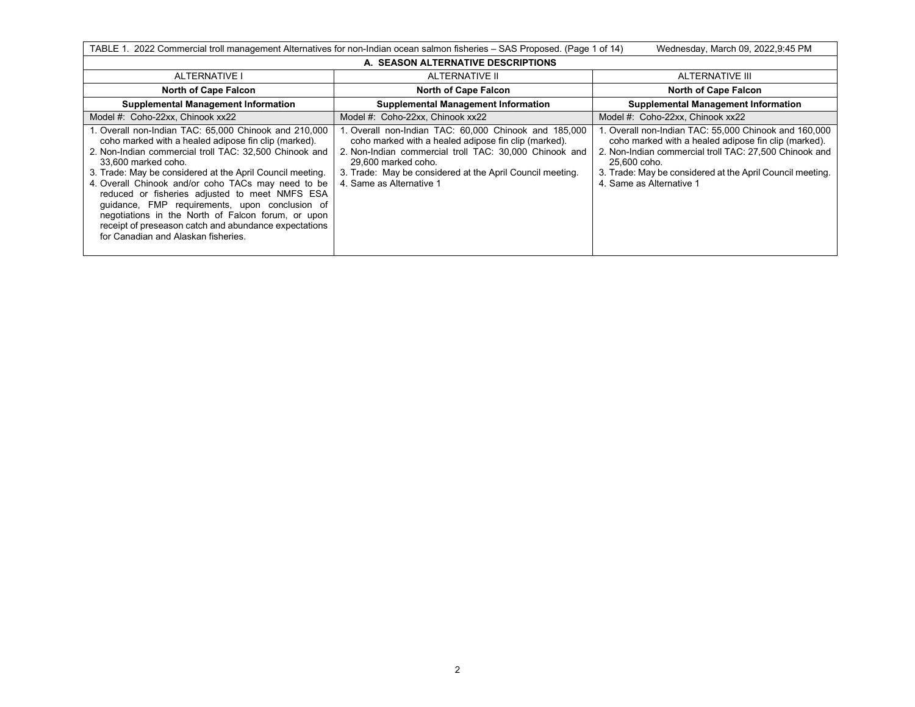| TABLE 1. 2022 Commercial troll management Alternatives for non-Indian ocean salmon fisheries – SAS Proposed. (Page 1 of 14)<br>Wednesday, March 09, 2022,9:45 PM                                                                                                                                                                                                                                                                                                                                                                                                            |                                                                                                                                                                                                                                                                                         |                                                                                                                                                                                                                                                                                  |  |  |
|-----------------------------------------------------------------------------------------------------------------------------------------------------------------------------------------------------------------------------------------------------------------------------------------------------------------------------------------------------------------------------------------------------------------------------------------------------------------------------------------------------------------------------------------------------------------------------|-----------------------------------------------------------------------------------------------------------------------------------------------------------------------------------------------------------------------------------------------------------------------------------------|----------------------------------------------------------------------------------------------------------------------------------------------------------------------------------------------------------------------------------------------------------------------------------|--|--|
| A. SEASON ALTERNATIVE DESCRIPTIONS                                                                                                                                                                                                                                                                                                                                                                                                                                                                                                                                          |                                                                                                                                                                                                                                                                                         |                                                                                                                                                                                                                                                                                  |  |  |
| <b>ALTERNATIVE I</b><br>ALTERNATIVE II<br>ALTERNATIVE III                                                                                                                                                                                                                                                                                                                                                                                                                                                                                                                   |                                                                                                                                                                                                                                                                                         |                                                                                                                                                                                                                                                                                  |  |  |
| <b>North of Cape Falcon</b>                                                                                                                                                                                                                                                                                                                                                                                                                                                                                                                                                 | <b>North of Cape Falcon</b>                                                                                                                                                                                                                                                             | North of Cape Falcon                                                                                                                                                                                                                                                             |  |  |
| <b>Supplemental Management Information</b>                                                                                                                                                                                                                                                                                                                                                                                                                                                                                                                                  | <b>Supplemental Management Information</b>                                                                                                                                                                                                                                              | <b>Supplemental Management Information</b>                                                                                                                                                                                                                                       |  |  |
| Model #: Coho-22xx, Chinook xx22                                                                                                                                                                                                                                                                                                                                                                                                                                                                                                                                            | Model #: Coho-22xx, Chinook xx22                                                                                                                                                                                                                                                        | Model #: Coho-22xx, Chinook xx22                                                                                                                                                                                                                                                 |  |  |
| 1. Overall non-Indian TAC: 65,000 Chinook and 210,000<br>coho marked with a healed adipose fin clip (marked).<br>2. Non-Indian commercial troll TAC: 32,500 Chinook and<br>33,600 marked coho.<br>3. Trade: May be considered at the April Council meeting.<br>4. Overall Chinook and/or coho TACs may need to be<br>reduced or fisheries adjusted to meet NMFS ESA<br>guidance, FMP requirements, upon conclusion of<br>negotiations in the North of Falcon forum, or upon<br>receipt of preseason catch and abundance expectations<br>for Canadian and Alaskan fisheries. | 1. Overall non-Indian TAC: 60,000 Chinook and 185,000<br>coho marked with a healed adipose fin clip (marked).<br>2. Non-Indian commercial troll TAC: 30,000 Chinook and<br>29,600 marked coho.<br>3. Trade: May be considered at the April Council meeting.<br>4. Same as Alternative 1 | 1. Overall non-Indian TAC: 55,000 Chinook and 160,000<br>coho marked with a healed adipose fin clip (marked).<br>2. Non-Indian commercial troll TAC: 27,500 Chinook and<br>25.600 coho.<br>3. Trade: May be considered at the April Council meeting.<br>4. Same as Alternative 1 |  |  |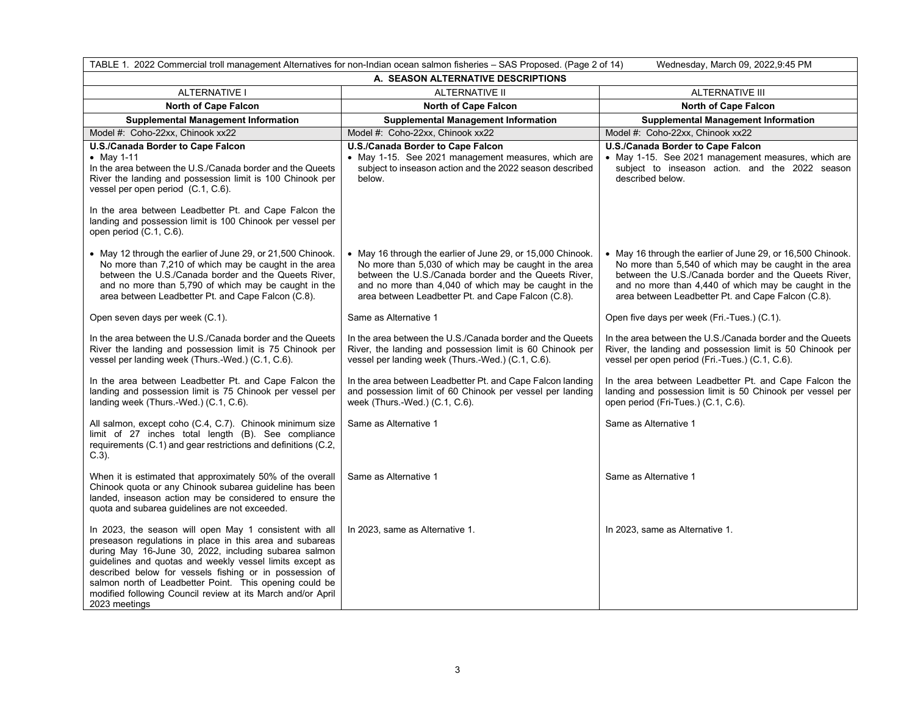| TABLE 1. 2022 Commercial troll management Alternatives for non-Indian ocean salmon fisheries – SAS Proposed. (Page 2 of 14)<br>Wednesday, March 09, 2022,9:45 PM                                                                                                                                                                                                                                                                               |                                                                                                                                                                                                                                                                                            |                                                                                                                                                                                                                                                                                            |  |
|------------------------------------------------------------------------------------------------------------------------------------------------------------------------------------------------------------------------------------------------------------------------------------------------------------------------------------------------------------------------------------------------------------------------------------------------|--------------------------------------------------------------------------------------------------------------------------------------------------------------------------------------------------------------------------------------------------------------------------------------------|--------------------------------------------------------------------------------------------------------------------------------------------------------------------------------------------------------------------------------------------------------------------------------------------|--|
| A. SEASON ALTERNATIVE DESCRIPTIONS                                                                                                                                                                                                                                                                                                                                                                                                             |                                                                                                                                                                                                                                                                                            |                                                                                                                                                                                                                                                                                            |  |
| <b>ALTERNATIVE I</b>                                                                                                                                                                                                                                                                                                                                                                                                                           | <b>ALTERNATIVE II</b>                                                                                                                                                                                                                                                                      | <b>ALTERNATIVE III</b>                                                                                                                                                                                                                                                                     |  |
| <b>North of Cape Falcon</b>                                                                                                                                                                                                                                                                                                                                                                                                                    | <b>North of Cape Falcon</b>                                                                                                                                                                                                                                                                | <b>North of Cape Falcon</b>                                                                                                                                                                                                                                                                |  |
| <b>Supplemental Management Information</b>                                                                                                                                                                                                                                                                                                                                                                                                     | <b>Supplemental Management Information</b>                                                                                                                                                                                                                                                 | <b>Supplemental Management Information</b>                                                                                                                                                                                                                                                 |  |
| Model #: Coho-22xx, Chinook xx22                                                                                                                                                                                                                                                                                                                                                                                                               | Model #: Coho-22xx, Chinook xx22                                                                                                                                                                                                                                                           | Model #: Coho-22xx, Chinook xx22                                                                                                                                                                                                                                                           |  |
| U.S./Canada Border to Cape Falcon<br>• May 1-11<br>In the area between the U.S./Canada border and the Queets<br>River the landing and possession limit is 100 Chinook per<br>vessel per open period (C.1, C.6).                                                                                                                                                                                                                                | U.S./Canada Border to Cape Falcon<br>• May 1-15. See 2021 management measures, which are<br>subject to inseason action and the 2022 season described<br>below.                                                                                                                             | U.S./Canada Border to Cape Falcon<br>• May 1-15. See 2021 management measures, which are<br>subject to inseason action. and the 2022 season<br>described below.                                                                                                                            |  |
| In the area between Leadbetter Pt. and Cape Falcon the<br>landing and possession limit is 100 Chinook per vessel per<br>open period (C.1, C.6).                                                                                                                                                                                                                                                                                                |                                                                                                                                                                                                                                                                                            |                                                                                                                                                                                                                                                                                            |  |
| • May 12 through the earlier of June 29, or 21,500 Chinook.<br>No more than 7,210 of which may be caught in the area<br>between the U.S./Canada border and the Queets River,<br>and no more than 5,790 of which may be caught in the<br>area between Leadbetter Pt. and Cape Falcon (C.8).                                                                                                                                                     | • May 16 through the earlier of June 29, or 15,000 Chinook.<br>No more than 5,030 of which may be caught in the area<br>between the U.S./Canada border and the Queets River,<br>and no more than 4,040 of which may be caught in the<br>area between Leadbetter Pt. and Cape Falcon (C.8). | • May 16 through the earlier of June 29, or 16,500 Chinook.<br>No more than 5,540 of which may be caught in the area<br>between the U.S./Canada border and the Queets River,<br>and no more than 4,440 of which may be caught in the<br>area between Leadbetter Pt. and Cape Falcon (C.8). |  |
| Open seven days per week (C.1).                                                                                                                                                                                                                                                                                                                                                                                                                | Same as Alternative 1                                                                                                                                                                                                                                                                      | Open five days per week (Fri.-Tues.) (C.1).                                                                                                                                                                                                                                                |  |
| In the area between the U.S./Canada border and the Queets<br>River the landing and possession limit is 75 Chinook per<br>vessel per landing week (Thurs.-Wed.) (C.1, C.6).                                                                                                                                                                                                                                                                     | In the area between the U.S./Canada border and the Queets<br>River, the landing and possession limit is 60 Chinook per<br>vessel per landing week (Thurs.-Wed.) (C.1, C.6).                                                                                                                | In the area between the U.S./Canada border and the Queets<br>River, the landing and possession limit is 50 Chinook per<br>vessel per open period (Fri.-Tues.) (C.1, C.6).                                                                                                                  |  |
| In the area between Leadbetter Pt. and Cape Falcon the<br>landing and possession limit is 75 Chinook per vessel per<br>landing week (Thurs.-Wed.) (C.1, C.6).                                                                                                                                                                                                                                                                                  | In the area between Leadbetter Pt. and Cape Falcon landing<br>and possession limit of 60 Chinook per vessel per landing<br>week (Thurs.-Wed.) (C.1, C.6).                                                                                                                                  | In the area between Leadbetter Pt. and Cape Falcon the<br>landing and possession limit is 50 Chinook per vessel per<br>open period (Fri-Tues.) (C.1, C.6).                                                                                                                                 |  |
| All salmon, except coho (C.4, C.7). Chinook minimum size<br>limit of 27 inches total length (B). See compliance<br>requirements (C.1) and gear restrictions and definitions (C.2,<br>$C.3$ ).                                                                                                                                                                                                                                                  | Same as Alternative 1                                                                                                                                                                                                                                                                      | Same as Alternative 1                                                                                                                                                                                                                                                                      |  |
| When it is estimated that approximately 50% of the overall<br>Chinook quota or any Chinook subarea guideline has been<br>landed, inseason action may be considered to ensure the<br>quota and subarea guidelines are not exceeded.                                                                                                                                                                                                             | Same as Alternative 1                                                                                                                                                                                                                                                                      | Same as Alternative 1                                                                                                                                                                                                                                                                      |  |
| In 2023, the season will open May 1 consistent with all<br>preseason regulations in place in this area and subareas<br>during May 16-June 30, 2022, including subarea salmon<br>guidelines and quotas and weekly vessel limits except as<br>described below for vessels fishing or in possession of<br>salmon north of Leadbetter Point. This opening could be<br>modified following Council review at its March and/or April<br>2023 meetings | In 2023, same as Alternative 1.                                                                                                                                                                                                                                                            | In 2023, same as Alternative 1.                                                                                                                                                                                                                                                            |  |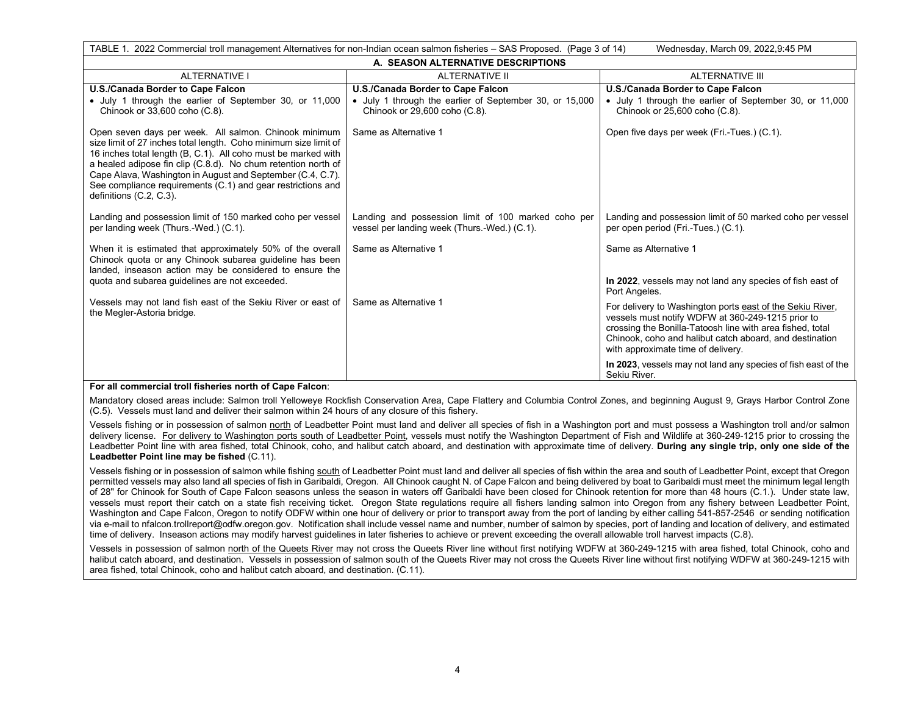| TABLE 1. 2022 Commercial troll management Alternatives for non-Indian ocean salmon fisheries - SAS Proposed. (Page 3 of 14)<br>Wednesday, March 09, 2022, 9:45 PM                                                                                                                                                                                                                                                                                                                                                                                    |                                                                                                                                                                                                                                                                                                                                               |                                                                                                                                                                                                                                                                                                                                                                                     |  |  |  |
|------------------------------------------------------------------------------------------------------------------------------------------------------------------------------------------------------------------------------------------------------------------------------------------------------------------------------------------------------------------------------------------------------------------------------------------------------------------------------------------------------------------------------------------------------|-----------------------------------------------------------------------------------------------------------------------------------------------------------------------------------------------------------------------------------------------------------------------------------------------------------------------------------------------|-------------------------------------------------------------------------------------------------------------------------------------------------------------------------------------------------------------------------------------------------------------------------------------------------------------------------------------------------------------------------------------|--|--|--|
|                                                                                                                                                                                                                                                                                                                                                                                                                                                                                                                                                      | A. SEASON ALTERNATIVE DESCRIPTIONS                                                                                                                                                                                                                                                                                                            |                                                                                                                                                                                                                                                                                                                                                                                     |  |  |  |
| <b>ALTERNATIVE I</b><br><b>ALTERNATIVE II</b><br><b>ALTERNATIVE III</b>                                                                                                                                                                                                                                                                                                                                                                                                                                                                              |                                                                                                                                                                                                                                                                                                                                               |                                                                                                                                                                                                                                                                                                                                                                                     |  |  |  |
| U.S./Canada Border to Cape Falcon<br>• July 1 through the earlier of September 30, or 11,000<br>Chinook or 33,600 coho (C.8).<br>Open seven days per week. All salmon. Chinook minimum<br>size limit of 27 inches total length. Coho minimum size limit of<br>16 inches total length (B, C.1). All coho must be marked with<br>a healed adipose fin clip (C.8.d). No chum retention north of<br>Cape Alava, Washington in August and September (C.4, C.7).<br>See compliance requirements (C.1) and gear restrictions and<br>definitions (C.2, C.3). | <b>U.S./Canada Border to Cape Falcon</b><br>U.S./Canada Border to Cape Falcon<br>• July 1 through the earlier of September 30, or 15,000<br>• July 1 through the earlier of September 30, or 11,000<br>Chinook or 29,600 coho (C.8).<br>Chinook or 25,600 coho (C.8).<br>Same as Alternative 1<br>Open five days per week (Fri.-Tues.) (C.1). |                                                                                                                                                                                                                                                                                                                                                                                     |  |  |  |
| Landing and possession limit of 150 marked coho per vessel<br>per landing week (Thurs.-Wed.) (C.1).                                                                                                                                                                                                                                                                                                                                                                                                                                                  | Landing and possession limit of 100 marked coho per<br>vessel per landing week (Thurs.-Wed.) (C.1).                                                                                                                                                                                                                                           | Landing and possession limit of 50 marked coho per vessel<br>per open period (Fri.-Tues.) (C.1).                                                                                                                                                                                                                                                                                    |  |  |  |
| When it is estimated that approximately 50% of the overall<br>Chinook quota or any Chinook subarea guideline has been<br>landed, inseason action may be considered to ensure the<br>quota and subarea guidelines are not exceeded.<br>Vessels may not land fish east of the Sekiu River or east of<br>the Megler-Astoria bridge.                                                                                                                                                                                                                     | Same as Alternative 1<br>Same as Alternative 1                                                                                                                                                                                                                                                                                                | Same as Alternative 1<br>In 2022, vessels may not land any species of fish east of<br>Port Angeles.<br>For delivery to Washington ports east of the Sekiu River,<br>vessels must notify WDFW at 360-249-1215 prior to<br>crossing the Bonilla-Tatoosh line with area fished, total<br>Chinook, coho and halibut catch aboard, and destination<br>with approximate time of delivery. |  |  |  |
|                                                                                                                                                                                                                                                                                                                                                                                                                                                                                                                                                      |                                                                                                                                                                                                                                                                                                                                               | In 2023, vessels may not land any species of fish east of the<br>Sekiu River.                                                                                                                                                                                                                                                                                                       |  |  |  |

## **For all commercial troll fisheries north of Cape Falcon**:

Mandatory closed areas include: Salmon troll Yelloweye Rockfish Conservation Area, Cape Flattery and Columbia Control Zones, and beginning August 9, Grays Harbor Control Zone (C.5). Vessels must land and deliver their salmon within 24 hours of any closure of this fishery.

Vessels fishing or in possession of salmon north of Leadbetter Point must land and deliver all species of fish in a Washington port and must possess a Washington troll and/or salmon delivery license. For delivery to Washington ports south of Leadbetter Point, vessels must notify the Washington Department of Fish and Wildlife at 360-249-1215 prior to crossing the Leadbetter Point line with area fished, total Chinook, coho, and halibut catch aboard, and destination with approximate time of delivery. **During any single trip, only one side of the Leadbetter Point line may be fished** (C.11).

Vessels fishing or in possession of salmon while fishing south of Leadbetter Point must land and deliver all species of fish within the area and south of Leadbetter Point, except that Oregon permitted vessels may also land all species of fish in Garibaldi, Oregon. All Chinook caught N. of Cape Falcon and being delivered by boat to Garibaldi must meet the minimum legal length of 28" for Chinook for South of Cape Falcon seasons unless the season in waters off Garibaldi have been closed for Chinook retention for more than 48 hours (C.1.). Under state law, vessels must report their catch on a state fish receiving ticket. Oregon State regulations require all fishers landing salmon into Oregon from any fishery between Leadbetter Point, Washington and Cape Falcon, Oregon to notify ODFW within one hour of delivery or prior to transport away from the port of landing by either calling 541-857-2546 or sending notification via e-mail to nfalcon.trollreport@odfw.oregon.gov. Notification shall include vessel name and number, number of salmon by species, port of landing and location of delivery, and estimated time of delivery. Inseason actions may modify harvest guidelines in later fisheries to achieve or prevent exceeding the overall allowable troll harvest impacts (C.8).

Vessels in possession of salmon north of the Queets River may not cross the Queets River line without first notifying WDFW at 360-249-1215 with area fished, total Chinook, coho and halibut catch aboard, and destination. Vessels in possession of salmon south of the Queets River may not cross the Queets River line without first notifying WDFW at 360-249-1215 with area fished, total Chinook, coho and halibut catch aboard, and destination. (C.11).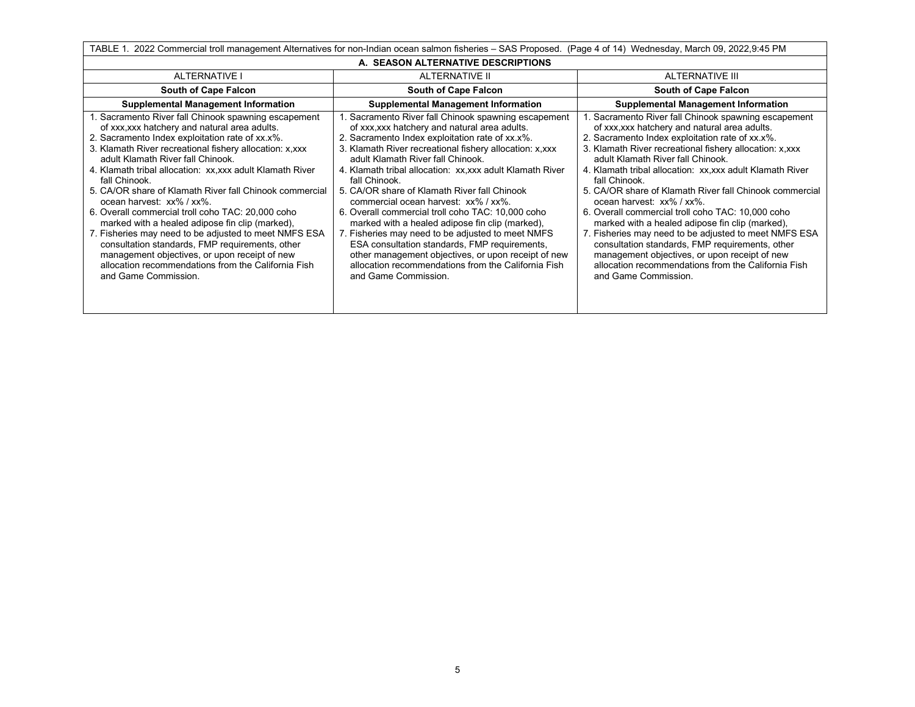| TABLE 1. 2022 Commercial troll management Alternatives for non-Indian ocean salmon fisheries - SAS Proposed. (Page 4 of 14) Wednesday, March 09, 2022,9:45 PM                                                                                                                                                                                                                                                                                                                                                                                                                                                                                                                                                                                                                       |                                                                                                                                                                                                                                                                                                                                                                                                                                                                                                                                                                                                                                                                                                                                                                                 |                                                                                                                                                                                                                                                                                                                                                                                                                                                                                                                                                                                                                                                                                                                                                                                     |  |  |  |
|-------------------------------------------------------------------------------------------------------------------------------------------------------------------------------------------------------------------------------------------------------------------------------------------------------------------------------------------------------------------------------------------------------------------------------------------------------------------------------------------------------------------------------------------------------------------------------------------------------------------------------------------------------------------------------------------------------------------------------------------------------------------------------------|---------------------------------------------------------------------------------------------------------------------------------------------------------------------------------------------------------------------------------------------------------------------------------------------------------------------------------------------------------------------------------------------------------------------------------------------------------------------------------------------------------------------------------------------------------------------------------------------------------------------------------------------------------------------------------------------------------------------------------------------------------------------------------|-------------------------------------------------------------------------------------------------------------------------------------------------------------------------------------------------------------------------------------------------------------------------------------------------------------------------------------------------------------------------------------------------------------------------------------------------------------------------------------------------------------------------------------------------------------------------------------------------------------------------------------------------------------------------------------------------------------------------------------------------------------------------------------|--|--|--|
|                                                                                                                                                                                                                                                                                                                                                                                                                                                                                                                                                                                                                                                                                                                                                                                     | A. SEASON ALTERNATIVE DESCRIPTIONS                                                                                                                                                                                                                                                                                                                                                                                                                                                                                                                                                                                                                                                                                                                                              |                                                                                                                                                                                                                                                                                                                                                                                                                                                                                                                                                                                                                                                                                                                                                                                     |  |  |  |
| <b>ALTERNATIVE I</b><br><b>ALTERNATIVE II</b><br>ALTERNATIVE III                                                                                                                                                                                                                                                                                                                                                                                                                                                                                                                                                                                                                                                                                                                    |                                                                                                                                                                                                                                                                                                                                                                                                                                                                                                                                                                                                                                                                                                                                                                                 |                                                                                                                                                                                                                                                                                                                                                                                                                                                                                                                                                                                                                                                                                                                                                                                     |  |  |  |
| <b>South of Cape Falcon</b>                                                                                                                                                                                                                                                                                                                                                                                                                                                                                                                                                                                                                                                                                                                                                         | <b>South of Cape Falcon</b>                                                                                                                                                                                                                                                                                                                                                                                                                                                                                                                                                                                                                                                                                                                                                     | <b>South of Cape Falcon</b>                                                                                                                                                                                                                                                                                                                                                                                                                                                                                                                                                                                                                                                                                                                                                         |  |  |  |
| <b>Supplemental Management Information</b>                                                                                                                                                                                                                                                                                                                                                                                                                                                                                                                                                                                                                                                                                                                                          | <b>Supplemental Management Information</b>                                                                                                                                                                                                                                                                                                                                                                                                                                                                                                                                                                                                                                                                                                                                      | <b>Supplemental Management Information</b>                                                                                                                                                                                                                                                                                                                                                                                                                                                                                                                                                                                                                                                                                                                                          |  |  |  |
| 1. Sacramento River fall Chinook spawning escapement<br>of xxx, xxx hatchery and natural area adults.<br>2. Sacramento Index exploitation rate of xx.x%.<br>3. Klamath River recreational fishery allocation: x, xxx<br>adult Klamath River fall Chinook.<br>4. Klamath tribal allocation: xx, xxx adult Klamath River<br>fall Chinook.<br>5. CA/OR share of Klamath River fall Chinook commercial<br>ocean harvest: xx% / xx%.<br>6. Overall commercial troll coho TAC: 20,000 coho<br>marked with a healed adipose fin clip (marked),<br>7. Fisheries may need to be adjusted to meet NMFS ESA<br>consultation standards, FMP requirements, other<br>management objectives, or upon receipt of new<br>allocation recommendations from the California Fish<br>and Game Commission. | Sacramento River fall Chinook spawning escapement<br>of xxx, xxx hatchery and natural area adults.<br>2. Sacramento Index exploitation rate of xx.x%.<br>3. Klamath River recreational fishery allocation: x,xxx<br>adult Klamath River fall Chinook.<br>4. Klamath tribal allocation: xx, xxx adult Klamath River<br>fall Chinook.<br>5. CA/OR share of Klamath River fall Chinook<br>commercial ocean harvest: xx% / xx%.<br>6. Overall commercial troll coho TAC: 10,000 coho<br>marked with a healed adipose fin clip (marked),<br>7. Fisheries may need to be adjusted to meet NMFS<br>ESA consultation standards, FMP requirements,<br>other management objectives, or upon receipt of new<br>allocation recommendations from the California Fish<br>and Game Commission. | 1. Sacramento River fall Chinook spawning escapement<br>of xxx, xxx hatchery and natural area adults.<br>2. Sacramento Index exploitation rate of xx.x%.<br>3. Klamath River recreational fishery allocation: x, xxx<br>adult Klamath River fall Chinook.<br>4. Klamath tribal allocation: xx, xxx adult Klamath River<br>fall Chinook.<br>5. CA/OR share of Klamath River fall Chinook commercial<br>ocean harvest: xx% / xx%.<br>6. Overall commercial troll coho TAC: 10,000 coho<br>marked with a healed adipose fin clip (marked),<br>7. Fisheries may need to be adjusted to meet NMFS ESA<br>consultation standards, FMP requirements, other<br>management objectives, or upon receipt of new<br>allocation recommendations from the California Fish<br>and Game Commission. |  |  |  |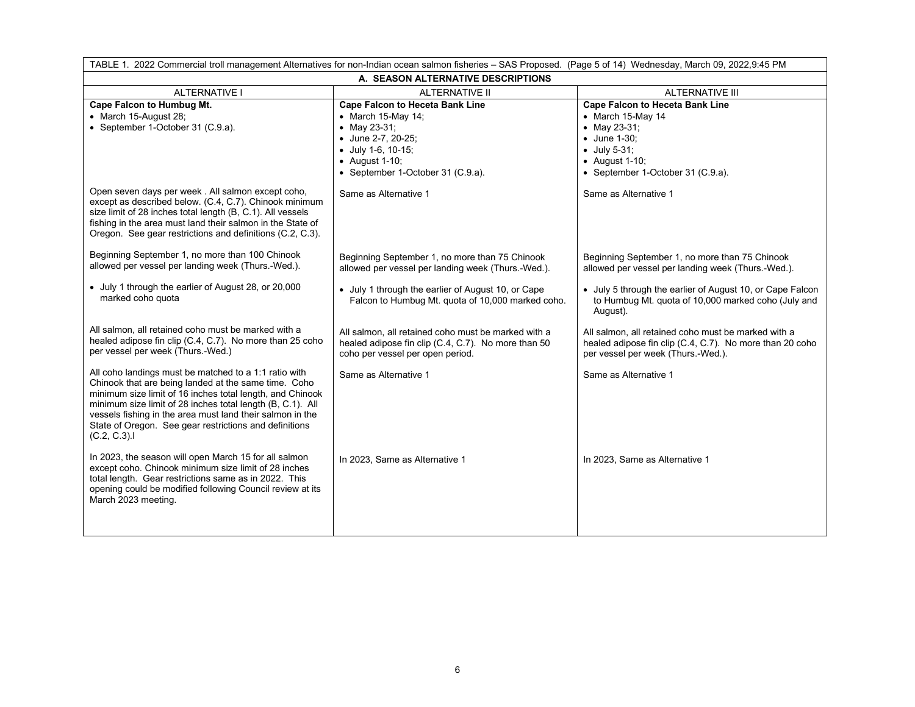| TABLE 1. 2022 Commercial troll management Alternatives for non-Indian ocean salmon fisheries - SAS Proposed. (Page 5 of 14) Wednesday, March 09, 2022.9:45 PM                                                                                                                                                                                                                   |                                                                                                                                                                                                                  |                                                                                                                                                                                                                     |  |  |  |  |
|---------------------------------------------------------------------------------------------------------------------------------------------------------------------------------------------------------------------------------------------------------------------------------------------------------------------------------------------------------------------------------|------------------------------------------------------------------------------------------------------------------------------------------------------------------------------------------------------------------|---------------------------------------------------------------------------------------------------------------------------------------------------------------------------------------------------------------------|--|--|--|--|
|                                                                                                                                                                                                                                                                                                                                                                                 | A. SEASON ALTERNATIVE DESCRIPTIONS                                                                                                                                                                               |                                                                                                                                                                                                                     |  |  |  |  |
| <b>ALTERNATIVE I</b>                                                                                                                                                                                                                                                                                                                                                            | <b>ALTERNATIVE II</b><br><b>ALTERNATIVE III</b>                                                                                                                                                                  |                                                                                                                                                                                                                     |  |  |  |  |
| Cape Falcon to Humbug Mt.<br>• March 15-August 28;<br>• September 1-October 31 (C.9.a).<br>Open seven days per week. All salmon except coho,<br>except as described below. (C.4, C.7). Chinook minimum                                                                                                                                                                          | <b>Cape Falcon to Heceta Bank Line</b><br>• March 15-May 14;<br>• May 23-31;<br>• June 2-7, 20-25;<br>• July 1-6, 10-15;<br>$\bullet$ August 1-10;<br>• September 1-October 31 (C.9.a).<br>Same as Alternative 1 | <b>Cape Falcon to Heceta Bank Line</b><br>$\bullet$ March 15-May 14<br>• May 23-31;<br>• June 1-30;<br>$\bullet$ July 5-31;<br>$\bullet$ August 1-10;<br>• September 1-October 31 (C.9.a).<br>Same as Alternative 1 |  |  |  |  |
| size limit of 28 inches total length (B, C.1). All vessels<br>fishing in the area must land their salmon in the State of<br>Oregon. See gear restrictions and definitions (C.2, C.3).                                                                                                                                                                                           |                                                                                                                                                                                                                  |                                                                                                                                                                                                                     |  |  |  |  |
| Beginning September 1, no more than 100 Chinook<br>allowed per vessel per landing week (Thurs.-Wed.).                                                                                                                                                                                                                                                                           | Beginning September 1, no more than 75 Chinook<br>allowed per vessel per landing week (Thurs.-Wed.).                                                                                                             | Beginning September 1, no more than 75 Chinook<br>allowed per vessel per landing week (Thurs.-Wed.).                                                                                                                |  |  |  |  |
| • July 1 through the earlier of August 28, or 20,000<br>marked coho quota                                                                                                                                                                                                                                                                                                       | • July 1 through the earlier of August 10, or Cape<br>Falcon to Humbug Mt. quota of 10,000 marked coho.                                                                                                          | • July 5 through the earlier of August 10, or Cape Falcon<br>to Humbug Mt. quota of 10,000 marked coho (July and<br>August).                                                                                        |  |  |  |  |
| All salmon, all retained coho must be marked with a<br>healed adipose fin clip (C.4, C.7). No more than 25 coho<br>per vessel per week (Thurs.-Wed.)                                                                                                                                                                                                                            | All salmon, all retained coho must be marked with a<br>healed adipose fin clip (C.4, C.7). No more than 50<br>coho per vessel per open period.                                                                   | All salmon, all retained coho must be marked with a<br>healed adipose fin clip (C.4, C.7). No more than 20 coho<br>per vessel per week (Thurs.-Wed.).                                                               |  |  |  |  |
| All coho landings must be matched to a 1:1 ratio with<br>Chinook that are being landed at the same time. Coho<br>minimum size limit of 16 inches total length, and Chinook<br>minimum size limit of 28 inches total length (B, C.1). All<br>vessels fishing in the area must land their salmon in the<br>State of Oregon. See gear restrictions and definitions<br>(C.2, C.3).1 | Same as Alternative 1                                                                                                                                                                                            | Same as Alternative 1                                                                                                                                                                                               |  |  |  |  |
| In 2023, the season will open March 15 for all salmon<br>except coho. Chinook minimum size limit of 28 inches<br>total length. Gear restrictions same as in 2022. This<br>opening could be modified following Council review at its<br>March 2023 meeting.                                                                                                                      | In 2023, Same as Alternative 1                                                                                                                                                                                   | In 2023, Same as Alternative 1                                                                                                                                                                                      |  |  |  |  |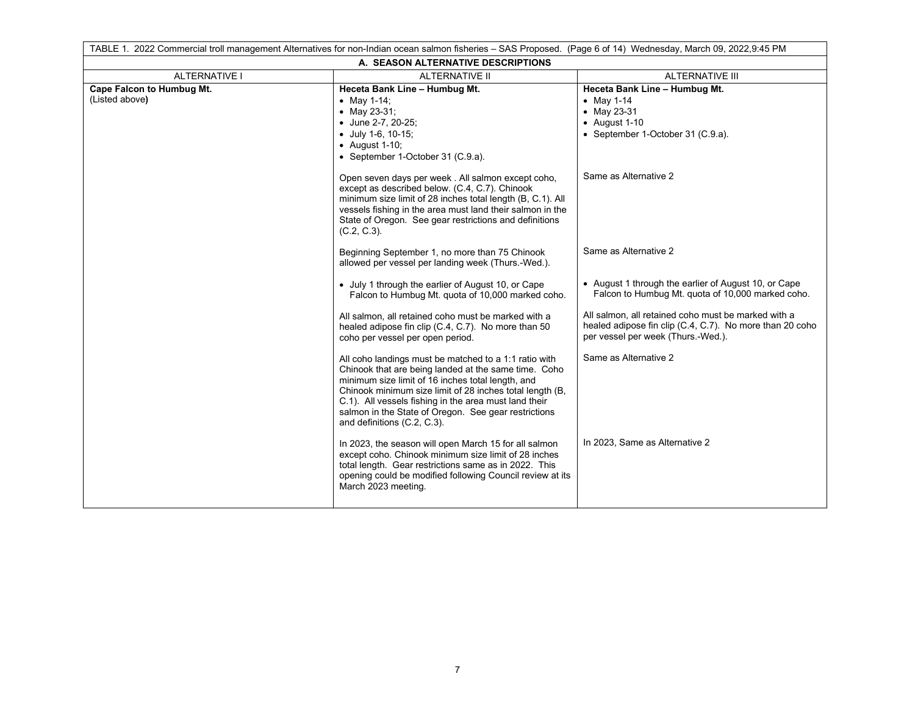| TABLE 1. 2022 Commercial troll management Alternatives for non-Indian ocean salmon fisheries - SAS Proposed. (Page 6 of 14) Wednesday, March 09, 2022,9:45 PM |                                                                                                                                                                                                                                                                                                                                                                                |                                                                                                                                                       |  |  |  |
|---------------------------------------------------------------------------------------------------------------------------------------------------------------|--------------------------------------------------------------------------------------------------------------------------------------------------------------------------------------------------------------------------------------------------------------------------------------------------------------------------------------------------------------------------------|-------------------------------------------------------------------------------------------------------------------------------------------------------|--|--|--|
| A. SEASON ALTERNATIVE DESCRIPTIONS                                                                                                                            |                                                                                                                                                                                                                                                                                                                                                                                |                                                                                                                                                       |  |  |  |
| <b>ALTERNATIVE I</b>                                                                                                                                          | <b>ALTERNATIVE II</b>                                                                                                                                                                                                                                                                                                                                                          | <b>ALTERNATIVE III</b>                                                                                                                                |  |  |  |
| Cape Falcon to Humbug Mt.<br>(Listed above)                                                                                                                   | Heceta Bank Line - Humbug Mt.<br>• May 1-14;<br>• May 23-31;<br>• June 2-7, 20-25;<br>• July 1-6, 10-15;<br>• August 1-10:<br>• September 1-October 31 (C.9.a).                                                                                                                                                                                                                | Heceta Bank Line - Humbug Mt.<br>$\bullet$ May 1-14<br>• May 23-31<br>$\bullet$ August 1-10<br>• September 1-October 31 (C.9.a).                      |  |  |  |
|                                                                                                                                                               | Same as Alternative 2<br>Open seven days per week. All salmon except coho,<br>except as described below. (C.4, C.7). Chinook<br>minimum size limit of 28 inches total length (B, C.1). All<br>vessels fishing in the area must land their salmon in the<br>State of Oregon. See gear restrictions and definitions<br>$(C.2, C.3)$ .                                            |                                                                                                                                                       |  |  |  |
|                                                                                                                                                               | Beginning September 1, no more than 75 Chinook<br>allowed per vessel per landing week (Thurs.-Wed.).                                                                                                                                                                                                                                                                           | Same as Alternative 2                                                                                                                                 |  |  |  |
|                                                                                                                                                               | • July 1 through the earlier of August 10, or Cape<br>Falcon to Humbug Mt. quota of 10,000 marked coho.                                                                                                                                                                                                                                                                        | • August 1 through the earlier of August 10, or Cape<br>Falcon to Humbug Mt. quota of 10,000 marked coho.                                             |  |  |  |
|                                                                                                                                                               | All salmon, all retained coho must be marked with a<br>healed adipose fin clip (C.4, C.7). No more than 50<br>coho per vessel per open period.                                                                                                                                                                                                                                 | All salmon, all retained coho must be marked with a<br>healed adipose fin clip (C.4, C.7). No more than 20 coho<br>per vessel per week (Thurs.-Wed.). |  |  |  |
|                                                                                                                                                               | All coho landings must be matched to a 1:1 ratio with<br>Chinook that are being landed at the same time. Coho<br>minimum size limit of 16 inches total length, and<br>Chinook minimum size limit of 28 inches total length (B,<br>C.1). All vessels fishing in the area must land their<br>salmon in the State of Oregon. See gear restrictions<br>and definitions (C.2, C.3). | Same as Alternative 2                                                                                                                                 |  |  |  |
|                                                                                                                                                               | In 2023, the season will open March 15 for all salmon<br>except coho. Chinook minimum size limit of 28 inches<br>total length. Gear restrictions same as in 2022. This<br>opening could be modified following Council review at its<br>March 2023 meeting.                                                                                                                     | In 2023, Same as Alternative 2                                                                                                                        |  |  |  |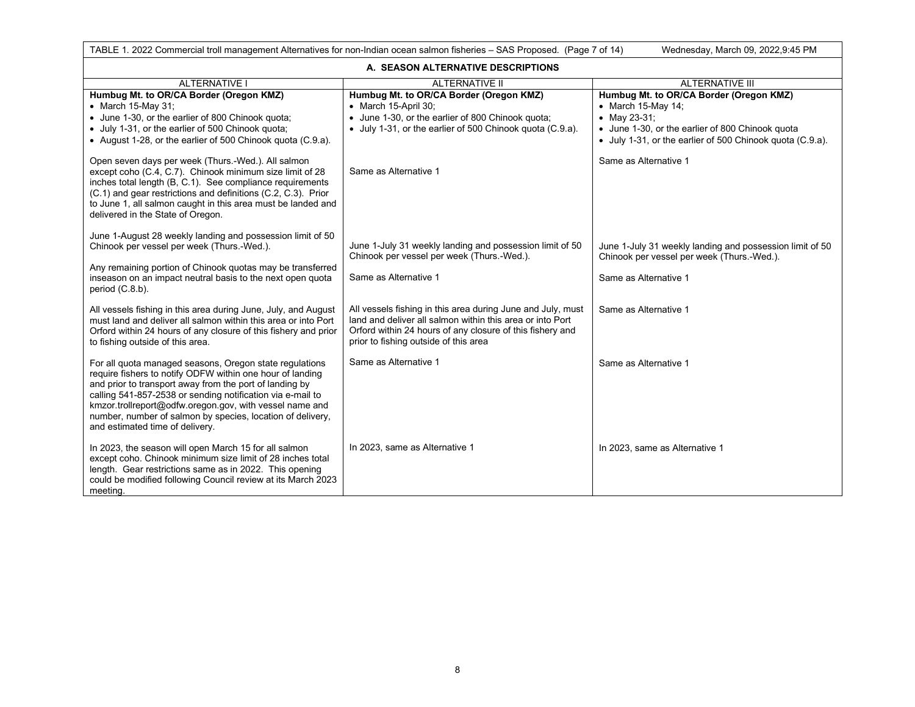| TABLE 1. 2022 Commercial troll management Alternatives for non-Indian ocean salmon fisheries - SAS Proposed. (Page 7 of 14)<br>Wednesday, March 09, 2022, 9:45 PM                                                                                                                                                                                                                                         |                                                                                                                                                                                                                                |                                                                                                               |  |  |  |
|-----------------------------------------------------------------------------------------------------------------------------------------------------------------------------------------------------------------------------------------------------------------------------------------------------------------------------------------------------------------------------------------------------------|--------------------------------------------------------------------------------------------------------------------------------------------------------------------------------------------------------------------------------|---------------------------------------------------------------------------------------------------------------|--|--|--|
|                                                                                                                                                                                                                                                                                                                                                                                                           | A. SEASON ALTERNATIVE DESCRIPTIONS                                                                                                                                                                                             |                                                                                                               |  |  |  |
| <b>ALTERNATIVE I</b>                                                                                                                                                                                                                                                                                                                                                                                      | <b>ALTERNATIVE II</b><br><b>ALTERNATIVE III</b>                                                                                                                                                                                |                                                                                                               |  |  |  |
| Humbug Mt. to OR/CA Border (Oregon KMZ)<br>$\bullet$ March 15-May 31;                                                                                                                                                                                                                                                                                                                                     | Humbug Mt. to OR/CA Border (Oregon KMZ)<br>• March 15-April 30:                                                                                                                                                                | Humbug Mt. to OR/CA Border (Oregon KMZ)<br>$\bullet$ March 15-May 14;                                         |  |  |  |
| • June 1-30, or the earlier of 800 Chinook quota;                                                                                                                                                                                                                                                                                                                                                         | • June 1-30, or the earlier of 800 Chinook quota;                                                                                                                                                                              | • May 23-31;                                                                                                  |  |  |  |
| • July 1-31, or the earlier of 500 Chinook quota;<br>• August 1-28, or the earlier of 500 Chinook quota (C.9.a).                                                                                                                                                                                                                                                                                          | • July 1-31, or the earlier of 500 Chinook quota (C.9.a).                                                                                                                                                                      | • June 1-30, or the earlier of 800 Chinook quota<br>• July 1-31, or the earlier of 500 Chinook quota (C.9.a). |  |  |  |
| Open seven days per week (Thurs.-Wed.). All salmon<br>except coho (C.4, C.7). Chinook minimum size limit of 28<br>inches total length (B, C.1). See compliance requirements<br>(C.1) and gear restrictions and definitions (C.2, C.3). Prior<br>to June 1, all salmon caught in this area must be landed and<br>delivered in the State of Oregon.                                                         | Same as Alternative 1                                                                                                                                                                                                          | Same as Alternative 1                                                                                         |  |  |  |
| June 1-August 28 weekly landing and possession limit of 50<br>Chinook per vessel per week (Thurs.-Wed.).                                                                                                                                                                                                                                                                                                  | June 1-July 31 weekly landing and possession limit of 50<br>Chinook per vessel per week (Thurs.-Wed.).                                                                                                                         | June 1-July 31 weekly landing and possession limit of 50<br>Chinook per vessel per week (Thurs.-Wed.).        |  |  |  |
| Any remaining portion of Chinook quotas may be transferred<br>inseason on an impact neutral basis to the next open quota<br>period (C.8.b).                                                                                                                                                                                                                                                               | Same as Alternative 1                                                                                                                                                                                                          | Same as Alternative 1                                                                                         |  |  |  |
| All vessels fishing in this area during June, July, and August<br>must land and deliver all salmon within this area or into Port<br>Orford within 24 hours of any closure of this fishery and prior<br>to fishing outside of this area.                                                                                                                                                                   | All vessels fishing in this area during June and July, must<br>land and deliver all salmon within this area or into Port<br>Orford within 24 hours of any closure of this fishery and<br>prior to fishing outside of this area | Same as Alternative 1                                                                                         |  |  |  |
| For all quota managed seasons, Oregon state regulations<br>require fishers to notify ODFW within one hour of landing<br>and prior to transport away from the port of landing by<br>calling 541-857-2538 or sending notification via e-mail to<br>kmzor.trollreport@odfw.oregon.gov, with vessel name and<br>number, number of salmon by species, location of delivery,<br>and estimated time of delivery. | Same as Alternative 1                                                                                                                                                                                                          | Same as Alternative 1                                                                                         |  |  |  |
| In 2023, the season will open March 15 for all salmon<br>except coho. Chinook minimum size limit of 28 inches total<br>length. Gear restrictions same as in 2022. This opening<br>could be modified following Council review at its March 2023<br>meeting.                                                                                                                                                | In 2023, same as Alternative 1                                                                                                                                                                                                 | In 2023, same as Alternative 1                                                                                |  |  |  |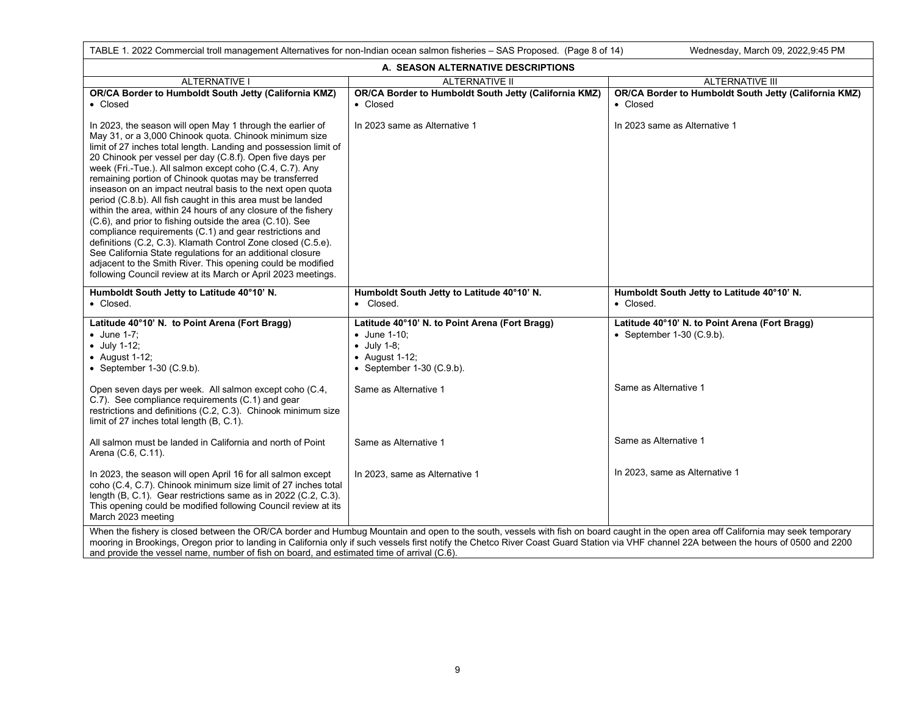| TABLE 1. 2022 Commercial troll management Alternatives for non-Indian ocean salmon fisheries - SAS Proposed. (Page 8 of 14)<br>Wednesday, March 09, 2022, 9:45 PM                                                                                                                                                                                                                                                                                                                                                                                                                                                                                                                                                                                                                                                                                                                                                                                               |                                                                                                                                                        |                                                                                |  |  |  |  |
|-----------------------------------------------------------------------------------------------------------------------------------------------------------------------------------------------------------------------------------------------------------------------------------------------------------------------------------------------------------------------------------------------------------------------------------------------------------------------------------------------------------------------------------------------------------------------------------------------------------------------------------------------------------------------------------------------------------------------------------------------------------------------------------------------------------------------------------------------------------------------------------------------------------------------------------------------------------------|--------------------------------------------------------------------------------------------------------------------------------------------------------|--------------------------------------------------------------------------------|--|--|--|--|
| A. SEASON ALTERNATIVE DESCRIPTIONS                                                                                                                                                                                                                                                                                                                                                                                                                                                                                                                                                                                                                                                                                                                                                                                                                                                                                                                              |                                                                                                                                                        |                                                                                |  |  |  |  |
| ALTERNATIVE I                                                                                                                                                                                                                                                                                                                                                                                                                                                                                                                                                                                                                                                                                                                                                                                                                                                                                                                                                   | <b>ALTERNATIVE II</b>                                                                                                                                  | <b>ALTERNATIVE III</b>                                                         |  |  |  |  |
| OR/CA Border to Humboldt South Jetty (California KMZ)<br>• Closed                                                                                                                                                                                                                                                                                                                                                                                                                                                                                                                                                                                                                                                                                                                                                                                                                                                                                               | OR/CA Border to Humboldt South Jetty (California KMZ)<br>• Closed                                                                                      | OR/CA Border to Humboldt South Jetty (California KMZ)<br>• Closed              |  |  |  |  |
| In 2023, the season will open May 1 through the earlier of<br>May 31, or a 3,000 Chinook quota. Chinook minimum size<br>limit of 27 inches total length. Landing and possession limit of<br>20 Chinook per vessel per day (C.8.f). Open five days per<br>week (Fri.-Tue.). All salmon except coho (C.4, C.7). Any<br>remaining portion of Chinook quotas may be transferred<br>inseason on an impact neutral basis to the next open quota<br>period (C.8.b). All fish caught in this area must be landed<br>within the area, within 24 hours of any closure of the fishery<br>(C.6), and prior to fishing outside the area (C.10). See<br>compliance requirements (C.1) and gear restrictions and<br>definitions (C.2, C.3). Klamath Control Zone closed (C.5.e).<br>See California State regulations for an additional closure<br>adjacent to the Smith River. This opening could be modified<br>following Council review at its March or April 2023 meetings. | In 2023 same as Alternative 1                                                                                                                          | In 2023 same as Alternative 1                                                  |  |  |  |  |
| Humboldt South Jetty to Latitude 40°10' N.<br>• Closed.                                                                                                                                                                                                                                                                                                                                                                                                                                                                                                                                                                                                                                                                                                                                                                                                                                                                                                         | Humboldt South Jetty to Latitude 40°10' N.<br>• Closed.                                                                                                | Humboldt South Jetty to Latitude 40°10' N.<br>• Closed.                        |  |  |  |  |
| Latitude 40°10' N. to Point Arena (Fort Bragg)<br>$\bullet$ June 1-7:<br>$\bullet$ July 1-12;<br>$\bullet$ August 1-12;<br>• September 1-30 $(C.9.b)$ .                                                                                                                                                                                                                                                                                                                                                                                                                                                                                                                                                                                                                                                                                                                                                                                                         | Latitude 40°10' N. to Point Arena (Fort Bragg)<br>$\bullet$ June 1-10:<br>$\bullet$ July 1-8;<br>$\bullet$ August 1-12;<br>• September $1-30$ (C.9.b). | Latitude 40°10' N. to Point Arena (Fort Bragg)<br>• September 1-30 $(C.9.b)$ . |  |  |  |  |
| Open seven days per week. All salmon except coho (C.4,<br>C.7). See compliance requirements (C.1) and gear<br>restrictions and definitions (C.2, C.3). Chinook minimum size<br>limit of 27 inches total length (B, C.1).                                                                                                                                                                                                                                                                                                                                                                                                                                                                                                                                                                                                                                                                                                                                        | Same as Alternative 1                                                                                                                                  | Same as Alternative 1                                                          |  |  |  |  |
| All salmon must be landed in California and north of Point<br>Arena (C.6, C.11).                                                                                                                                                                                                                                                                                                                                                                                                                                                                                                                                                                                                                                                                                                                                                                                                                                                                                | Same as Alternative 1                                                                                                                                  | Same as Alternative 1                                                          |  |  |  |  |
| In 2023, the season will open April 16 for all salmon except<br>coho (C.4, C.7). Chinook minimum size limit of 27 inches total<br>length (B, C.1). Gear restrictions same as in 2022 (C.2, C.3).<br>This opening could be modified following Council review at its<br>March 2023 meeting                                                                                                                                                                                                                                                                                                                                                                                                                                                                                                                                                                                                                                                                        | In 2023, same as Alternative 1                                                                                                                         | In 2023, same as Alternative 1                                                 |  |  |  |  |
| When the fishery is closed between the OR/CA border and Humbug Mountain and open to the south, vessels with fish on board caught in the open area off California may seek temporary<br>mooring in Brookings, Oregon prior to landing in California only if such vessels first notify the Chetco River Coast Guard Station via VHF channel 22A between the hours of 0500 and 2200<br>and provide the vessel name, number of fish on board, and estimated time of arrival (C.6).                                                                                                                                                                                                                                                                                                                                                                                                                                                                                  |                                                                                                                                                        |                                                                                |  |  |  |  |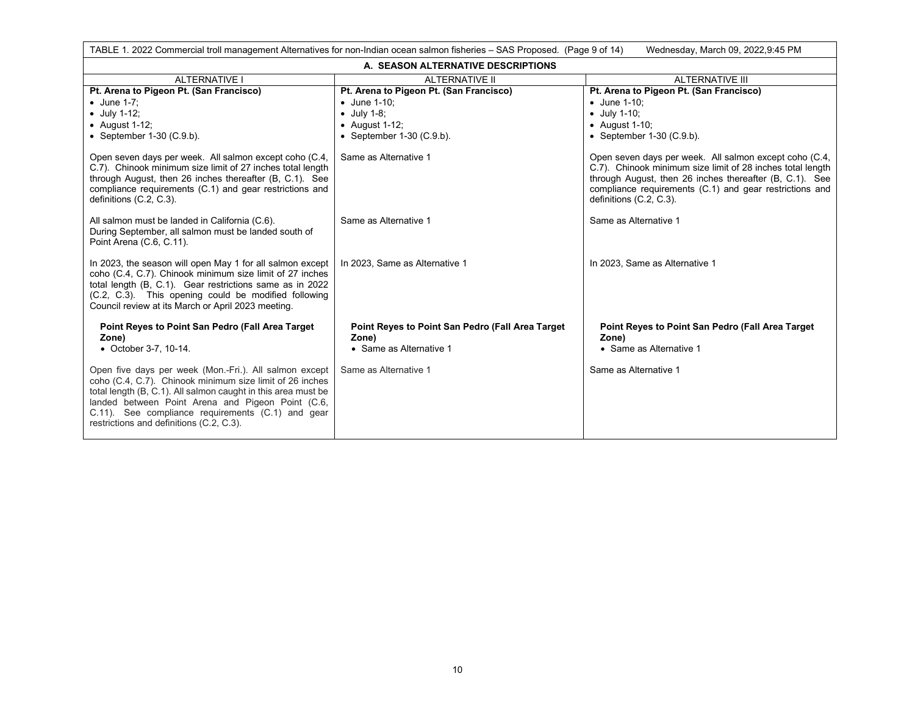| TABLE 1. 2022 Commercial troll management Alternatives for non-Indian ocean salmon fisheries – SAS Proposed. (Page 9 of 14)<br>Wednesday, March 09, 2022, 9:45 PM                                                                                                                                                                         |                                                                                      |                                                                                                                                                                                                                                                                       |  |  |  |
|-------------------------------------------------------------------------------------------------------------------------------------------------------------------------------------------------------------------------------------------------------------------------------------------------------------------------------------------|--------------------------------------------------------------------------------------|-----------------------------------------------------------------------------------------------------------------------------------------------------------------------------------------------------------------------------------------------------------------------|--|--|--|
| A. SEASON ALTERNATIVE DESCRIPTIONS                                                                                                                                                                                                                                                                                                        |                                                                                      |                                                                                                                                                                                                                                                                       |  |  |  |
| <b>ALTERNATIVE I</b>                                                                                                                                                                                                                                                                                                                      | <b>ALTERNATIVE II</b><br><b>ALTERNATIVE III</b>                                      |                                                                                                                                                                                                                                                                       |  |  |  |
| Pt. Arena to Pigeon Pt. (San Francisco)                                                                                                                                                                                                                                                                                                   | Pt. Arena to Pigeon Pt. (San Francisco)                                              | Pt. Arena to Pigeon Pt. (San Francisco)                                                                                                                                                                                                                               |  |  |  |
| $\bullet$ June 1-7:                                                                                                                                                                                                                                                                                                                       | $\bullet$ June 1-10:                                                                 | $\bullet$ June 1-10:                                                                                                                                                                                                                                                  |  |  |  |
| $\bullet$ July 1-12;                                                                                                                                                                                                                                                                                                                      | $\bullet$ July 1-8;                                                                  | $\bullet$ July 1-10:                                                                                                                                                                                                                                                  |  |  |  |
| $\bullet$ August 1-12;                                                                                                                                                                                                                                                                                                                    | • August $1-12$ ;                                                                    | $\bullet$ August 1-10;                                                                                                                                                                                                                                                |  |  |  |
| • September $1-30$ (C.9.b).                                                                                                                                                                                                                                                                                                               | • September $1-30$ (C.9.b).                                                          | • September $1-30$ (C.9.b).                                                                                                                                                                                                                                           |  |  |  |
| Open seven days per week. All salmon except coho (C.4,<br>C.7). Chinook minimum size limit of 27 inches total length<br>through August, then 26 inches thereafter (B, C.1). See<br>compliance requirements (C.1) and gear restrictions and<br>definitions (C.2, C.3).                                                                     | Same as Alternative 1                                                                | Open seven days per week. All salmon except coho (C.4,<br>C.7). Chinook minimum size limit of 28 inches total length<br>through August, then 26 inches thereafter (B, C.1). See<br>compliance requirements (C.1) and gear restrictions and<br>definitions (C.2, C.3). |  |  |  |
| All salmon must be landed in California (C.6).<br>During September, all salmon must be landed south of<br>Point Arena (C.6, C.11).                                                                                                                                                                                                        | Same as Alternative 1                                                                | Same as Alternative 1                                                                                                                                                                                                                                                 |  |  |  |
| In 2023, the season will open May 1 for all salmon except<br>coho (C.4, C.7). Chinook minimum size limit of 27 inches<br>total length (B, C.1). Gear restrictions same as in 2022<br>(C.2, C.3). This opening could be modified following<br>Council review at its March or April 2023 meeting.                                           | In 2023, Same as Alternative 1                                                       | In 2023, Same as Alternative 1                                                                                                                                                                                                                                        |  |  |  |
| Point Reyes to Point San Pedro (Fall Area Target<br>Zone)<br>• October 3-7, 10-14.                                                                                                                                                                                                                                                        | Point Reyes to Point San Pedro (Fall Area Target<br>Zone)<br>• Same as Alternative 1 | Point Reyes to Point San Pedro (Fall Area Target<br>Zone)<br>• Same as Alternative 1                                                                                                                                                                                  |  |  |  |
| Open five days per week (Mon.-Fri.). All salmon except<br>coho (C.4, C.7). Chinook minimum size limit of 26 inches<br>total length (B, C.1). All salmon caught in this area must be<br>landed between Point Arena and Pigeon Point (C.6,<br>C.11). See compliance requirements (C.1) and gear<br>restrictions and definitions (C.2, C.3). | Same as Alternative 1                                                                | Same as Alternative 1                                                                                                                                                                                                                                                 |  |  |  |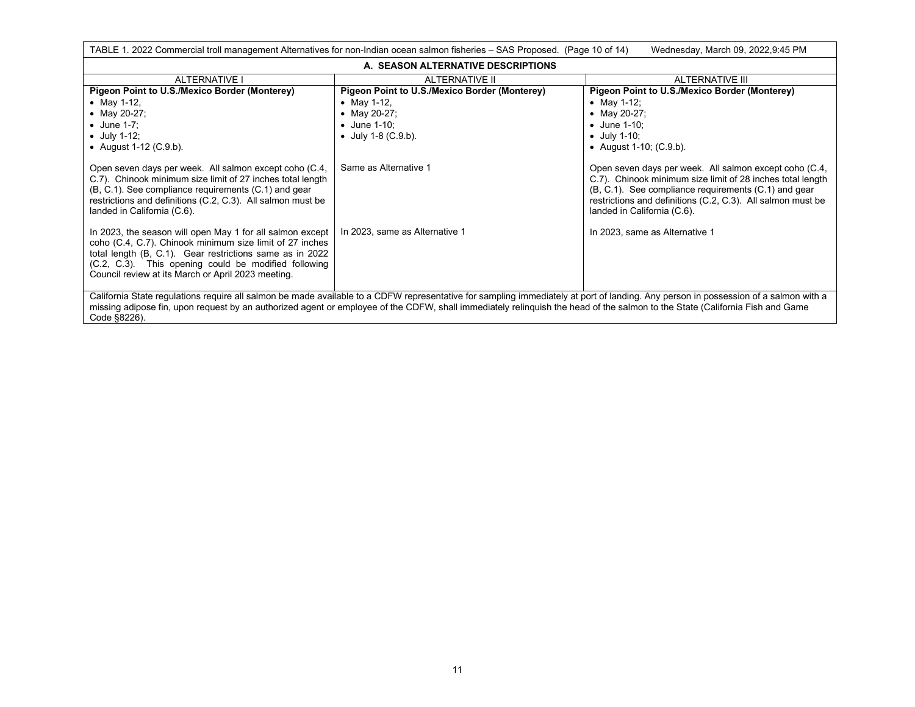| TABLE 1. 2022 Commercial troll management Alternatives for non-Indian ocean salmon fisheries – SAS Proposed. (Page 10 of 14)<br>Wednesday, March 09, 2022, 9:45 PM                                                                                                                                                                                                                  |                                               |                                                                                                                                                                                                                                                                            |  |  |  |
|-------------------------------------------------------------------------------------------------------------------------------------------------------------------------------------------------------------------------------------------------------------------------------------------------------------------------------------------------------------------------------------|-----------------------------------------------|----------------------------------------------------------------------------------------------------------------------------------------------------------------------------------------------------------------------------------------------------------------------------|--|--|--|
| A. SEASON ALTERNATIVE DESCRIPTIONS                                                                                                                                                                                                                                                                                                                                                  |                                               |                                                                                                                                                                                                                                                                            |  |  |  |
| <b>ALTERNATIVE I</b><br><b>ALTERNATIVE II</b><br>ALTERNATIVE III                                                                                                                                                                                                                                                                                                                    |                                               |                                                                                                                                                                                                                                                                            |  |  |  |
| Pigeon Point to U.S./Mexico Border (Monterey)                                                                                                                                                                                                                                                                                                                                       | Pigeon Point to U.S./Mexico Border (Monterey) | Pigeon Point to U.S./Mexico Border (Monterey)                                                                                                                                                                                                                              |  |  |  |
| • May 1-12,                                                                                                                                                                                                                                                                                                                                                                         | • May 1-12,                                   | • May 1-12;                                                                                                                                                                                                                                                                |  |  |  |
| • May 20-27;                                                                                                                                                                                                                                                                                                                                                                        | • May 20-27;                                  | • May 20-27;                                                                                                                                                                                                                                                               |  |  |  |
| $\bullet$ June 1-7;                                                                                                                                                                                                                                                                                                                                                                 | $\bullet$ June 1-10:                          | $\bullet$ June 1-10:                                                                                                                                                                                                                                                       |  |  |  |
| $\bullet$ July 1-12;                                                                                                                                                                                                                                                                                                                                                                | • July 1-8 (C.9.b).                           | $\bullet$ July 1-10;                                                                                                                                                                                                                                                       |  |  |  |
| • August 1-12 $(C.9.b)$ .                                                                                                                                                                                                                                                                                                                                                           |                                               | • August 1-10; $(C.9.b)$ .                                                                                                                                                                                                                                                 |  |  |  |
| Open seven days per week. All salmon except coho (C.4,<br>C.7). Chinook minimum size limit of 27 inches total length<br>(B, C.1). See compliance requirements (C.1) and gear<br>restrictions and definitions (C.2, C.3). All salmon must be<br>landed in California (C.6).                                                                                                          | Same as Alternative 1                         | Open seven days per week. All salmon except coho (C.4,<br>C.7). Chinook minimum size limit of 28 inches total length<br>(B, C.1). See compliance requirements (C.1) and gear<br>restrictions and definitions (C.2, C.3). All salmon must be<br>landed in California (C.6). |  |  |  |
| In 2023, same as Alternative 1<br>In 2023, the season will open May 1 for all salmon except<br>In 2023, same as Alternative 1<br>coho (C.4, C.7). Chinook minimum size limit of 27 inches<br>total length (B, C.1). Gear restrictions same as in 2022<br>(C.2, C.3). This opening could be modified following<br>Council review at its March or April 2023 meeting.                 |                                               |                                                                                                                                                                                                                                                                            |  |  |  |
| California State regulations require all salmon be made available to a CDFW representative for sampling immediately at port of landing. Any person in possession of a salmon with a<br>missing adipose fin, upon request by an authorized agent or employee of the CDFW, shall immediately relinguish the head of the salmon to the State (California Fish and Game<br>Code §8226). |                                               |                                                                                                                                                                                                                                                                            |  |  |  |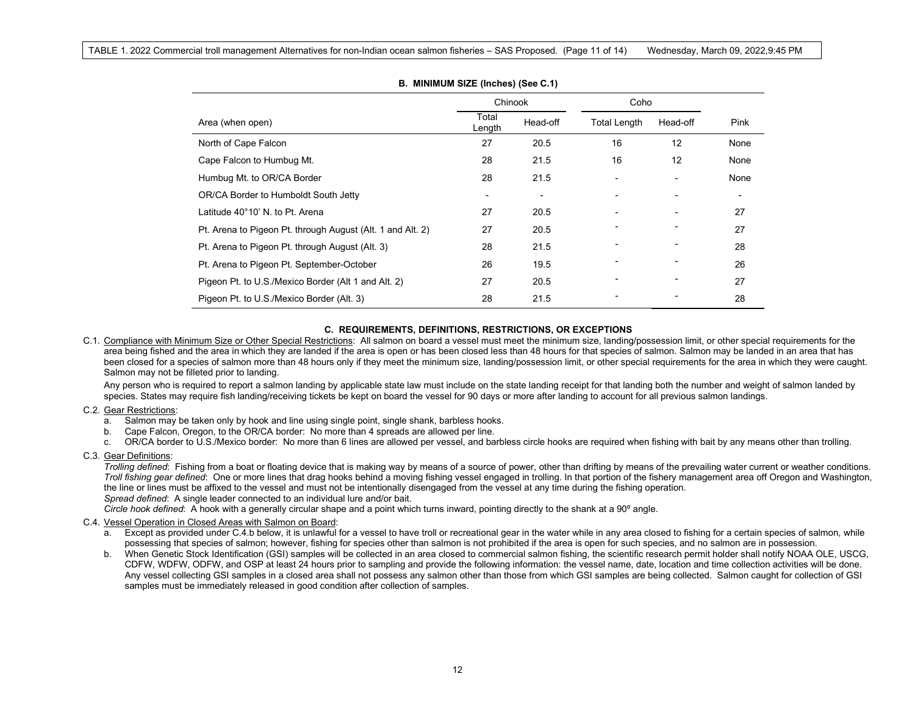|                                                            | Chinook                  |          | Coho                |          |      |
|------------------------------------------------------------|--------------------------|----------|---------------------|----------|------|
| Area (when open)                                           | Total<br>Length          | Head-off | <b>Total Length</b> | Head-off | Pink |
| North of Cape Falcon                                       | 27                       | 20.5     | 16                  | 12       | None |
| Cape Falcon to Humbug Mt.                                  | 28                       | 21.5     | 16                  | 12       | None |
| Humbug Mt. to OR/CA Border                                 | 28                       | 21.5     |                     |          | None |
| OR/CA Border to Humboldt South Jetty                       | $\overline{\phantom{a}}$ |          |                     |          |      |
| Latitude 40°10' N. to Pt. Arena                            | 27                       | 20.5     |                     |          | 27   |
| Pt. Arena to Pigeon Pt. through August (Alt. 1 and Alt. 2) | 27                       | 20.5     |                     |          | 27   |
| Pt. Arena to Pigeon Pt. through August (Alt. 3)            | 28                       | 21.5     |                     |          | 28   |
| Pt. Arena to Pigeon Pt. September-October                  | 26                       | 19.5     |                     |          | 26   |
| Pigeon Pt. to U.S./Mexico Border (Alt 1 and Alt. 2)        | 27                       | 20.5     |                     |          | 27   |
| Pigeon Pt. to U.S./Mexico Border (Alt. 3)                  | 28                       | 21.5     |                     |          | 28   |

**B. MINIMUM SIZE (Inches) (See C.1)**

# **C. REQUIREMENTS, DEFINITIONS, RESTRICTIONS, OR EXCEPTIONS**

C.1. Compliance with Minimum Size or Other Special Restrictions: All salmon on board a vessel must meet the minimum size, landing/possession limit, or other special requirements for the area being fished and the area in which they are landed if the area is open or has been closed less than 48 hours for that species of salmon. Salmon may be landed in an area that has been closed for a species of salmon more than 48 hours only if they meet the minimum size, landing/possession limit, or other special requirements for the area in which they were caught. Salmon may not be filleted prior to landing.

Any person who is required to report a salmon landing by applicable state law must include on the state landing receipt for that landing both the number and weight of salmon landed by species. States may require fish landing/receiving tickets be kept on board the vessel for 90 days or more after landing to account for all previous salmon landings.

## C.2. Gear Restrictions:

- a. Salmon may be taken only by hook and line using single point, single shank, barbless hooks.
- b. Cape Falcon, Oregon, to the OR/CA border: No more than 4 spreads are allowed per line.
- c. OR/CA border to U.S./Mexico border: No more than 6 lines are allowed per vessel, and barbless circle hooks are required when fishing with bait by any means other than trolling.

# C.3. Gear Definitions:

*Trolling defined*: Fishing from a boat or floating device that is making way by means of a source of power, other than drifting by means of the prevailing water current or weather conditions. *Troll fishing gear defined*: One or more lines that drag hooks behind a moving fishing vessel engaged in trolling. In that portion of the fishery management area off Oregon and Washington, the line or lines must be affixed to the vessel and must not be intentionally disengaged from the vessel at any time during the fishing operation.

*Spread defined*: A single leader connected to an individual lure and/or bait.

*Circle hook defined*: A hook with a generally circular shape and a point which turns inward, pointing directly to the shank at a 90º angle.

## C.4. Vessel Operation in Closed Areas with Salmon on Board:

- a. Except as provided under C.4.b below, it is unlawful for a vessel to have troll or recreational gear in the water while in any area closed to fishing for a certain species of salmon, while possessing that species of salmon; however, fishing for species other than salmon is not prohibited if the area is open for such species, and no salmon are in possession.
- b. When Genetic Stock Identification (GSI) samples will be collected in an area closed to commercial salmon fishing, the scientific research permit holder shall notify NOAA OLE, USCG, CDFW, WDFW, ODFW, and OSP at least 24 hours prior to sampling and provide the following information: the vessel name, date, location and time collection activities will be done. Any vessel collecting GSI samples in a closed area shall not possess any salmon other than those from which GSI samples are being collected. Salmon caught for collection of GSI samples must be immediately released in good condition after collection of samples.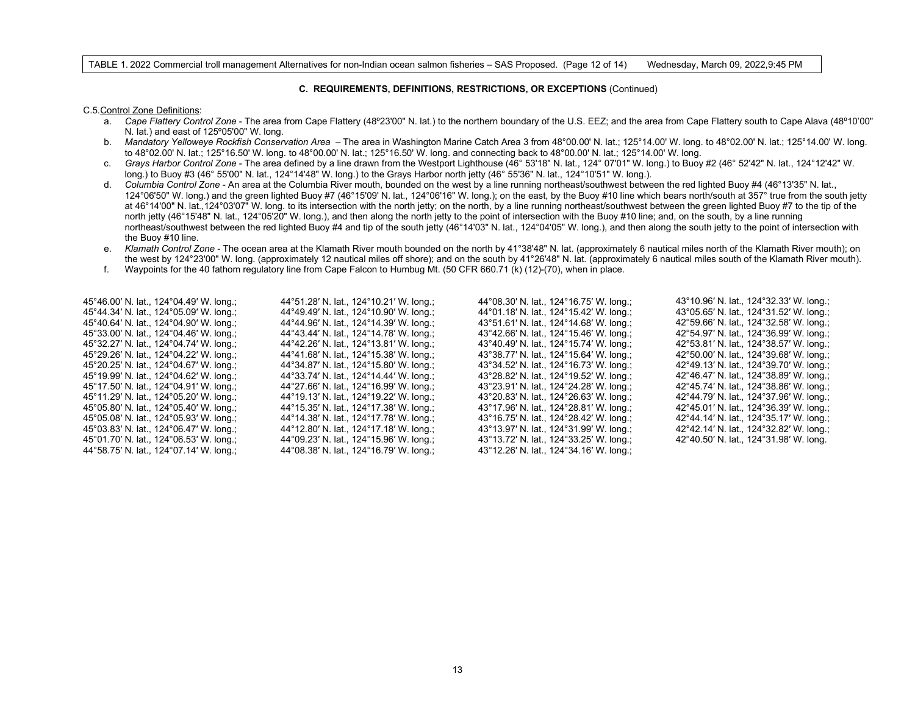TABLE 1. 2022 Commercial troll management Alternatives for non-Indian ocean salmon fisheries – SAS Proposed. (Page 12 of 14) Wednesday, March 09, 2022,9:45 PM

## **C. REQUIREMENTS, DEFINITIONS, RESTRICTIONS, OR EXCEPTIONS** (Continued)

#### C.5.Control Zone Definitions:

- a. *Cape Flattery Control Zone*  The area from Cape Flattery (48º23'00" N. lat.) to the northern boundary of the U.S. EEZ; and the area from Cape Flattery south to Cape Alava (48º10'00" N. lat.) and east of 125º05'00" W. long.
- b. Mandatory Yelloweye Rockfish Conservation Area The area in Washington Marine Catch Area 3 from 48°00.00' N. lat.; 125°14.00' W. long. to 48°02.00' N. lat.; 125°14.00' W. long. to 48°02.00' N. lat.; 125°16.50' W. long. to 48°00.00' N. lat.; 125°16.50' W. long. and connecting back to 48°00.00' N. lat.; 125°14.00' W. long.
- c. *Grays Harbor Control Zone* The area defined by a line drawn from the Westport Lighthouse (46° 53'18" N. lat., 124° 07'01" W. long.) to Buoy #2 (46° 52'42" N. lat., 124°12'42" W. long.) to Buoy #3 (46° 55'00" N. lat., 124°14'48" W. long.) to the Grays Harbor north jetty (46° 55'36" N. lat., 124°10'51" W. long.).
- d. *Columbia Control Zone* An area at the Columbia River mouth, bounded on the west by a line running northeast/southwest between the red lighted Buoy #4 (46°13'35" N. lat., 124°06'50" W. long.) and the green lighted Buoy #7 (46°15'09' N. lat., 124°06'16" W. long.); on the east, by the Buoy #10 line which bears north/south at 357° true from the south jetty at 46°14'00" N. lat.,124°03'07" W. long. to its intersection with the north jetty; on the north, by a line running northeast/southwest between the green lighted Buoy #7 to the tip of the north jetty (46°15'48" N. lat., 124°05'20" W. long.), and then along the north jetty to the point of intersection with the Buoy #10 line; and, on the south, by a line running northeast/southwest between the red lighted Buoy #4 and tip of the south jetty (46°14'03" N. lat., 124°04'05" W. long.), and then along the south jetty to the point of intersection with the Buoy #10 line.
- e. Klamath Control Zone The ocean area at the Klamath River mouth bounded on the north by 41°38'48" N. lat. (approximately 6 nautical miles north of the Klamath River mouth); on the west by 124°23'00" W. long. (approximately 12 nautical miles off shore); and on the south by 41°26'48" N. lat. (approximately 6 nautical miles south of the Klamath River mouth).
- f. Waypoints for the 40 fathom regulatory line from Cape Falcon to Humbug Mt. (50 CFR 660.71 (k) (12)-(70), when in place.

| 45°46.00' N. lat., 124°04.49' W. long.; | 44°51.28' N. lat., 124°10.21' W. long.; | 44°08.30' N. lat., 124°16.75' W. long.;                    | 43°10.96' N. lat., 124°32.33' W. long.;          |
|-----------------------------------------|-----------------------------------------|------------------------------------------------------------|--------------------------------------------------|
| 45°44.34' N. lat., 124°05.09' W. long.; | 44°49.49' N. lat., 124°10.90' W. long.; | 44°01.18' N. lat., 124°15.42' W. long.;                    | 43°05.65' N. lat., 124°31.52' W. long.;          |
| 45°40.64' N. lat., 124°04.90' W. long.; | 44°44.96' N. lat., 124°14.39' W. long.; | $43^{\circ}51.61'$ N. lat., 124 $^{\circ}14.68'$ W. long.; | $42^{\circ}59.66'$ N. lat., 124°32.58′ W. long.; |
| 45°33.00' N. lat., 124°04.46' W. long.; | 44°43.44' N. lat., 124°14.78' W. long.; | 43°42.66' N. lat., 124°15.46' W. long.;                    | 42°54.97' N. lat., 124°36.99' W. long.;          |
| 45°32.27' N. lat., 124°04.74' W. long.; | 44°42.26' N. lat., 124°13.81' W. long.; | 43°40.49' N. lat., 124°15.74' W. long.;                    | 42°53.81′ N. lat., 124°38.57′ W. long.;          |
| 45°29.26' N. lat., 124°04.22' W. long.; | 44°41.68' N. lat., 124°15.38' W. long.; | 43°38.77' N. lat., 124°15.64' W. long.;                    | 42°50.00' N. lat., 124°39.68' W. long.;          |
| 45°20.25′ N. lat., 124°04.67′ W. long.; | 44°34.87' N. lat., 124°15.80' W. long.; | 43°34.52′ N. lat., 124°16.73′ W. long.;                    | 42°49.13' N. lat., 124°39.70' W. long.;          |
| 45°19.99' N. lat., 124°04.62' W. long.; | 44°33.74′ N. lat., 124°14.44′ W. long.; | 43°28.82' N. lat., 124°19.52' W. long.;                    | 42°46.47′ N. lat., 124°38.89′ W. long.;          |
| 45°17.50' N. lat., 124°04.91' W. long.; | 44°27.66' N. lat., 124°16.99' W. long.; | 43°23.91′ N. lat., 124°24.28′ W. long.;                    | 42°45.74′ N. lat., 124°38.86′ W. long.;          |
| 45°11.29′ N. lat., 124°05.20′ W. long.; | 44°19.13' N. lat., 124°19.22' W. long.; | 43°20.83' N. lat., 124°26.63' W. long.;                    | 42°44.79' N. lat., 124°37.96' W. long.;          |
| 45°05.80' N. lat., 124°05.40' W. long.; | 44°15.35' N. lat., 124°17.38' W. long.; | 43°17.96' N. lat., 124°28.81' W. long.;                    | 42°45.01′ N. lat., 124°36.39′ W. long.;          |
| 45°05.08′ N. lat., 124°05.93′ W. long.; | 44°14.38' N. lat., 124°17.78' W. long.; | 43°16.75' N. lat., 124°28.42' W. long.;                    | 42°44.14' N. lat., 124°35.17' W. long.;          |
| 45°03.83' N. lat., 124°06.47' W. long.; | 44°12.80' N. lat., 124°17.18' W. long.; | 43°13.97' N. lat., 124°31.99' W. long.;                    | 42°42.14′ N. lat., 124°32.82′ W. long.;          |
| 45°01.70′ N. lat., 124°06.53′ W. long.; | 44°09.23' N. lat., 124°15.96' W. long.; | 43°13.72′ N. lat., 124°33.25′ W. long.;                    | 42°40.50' N. lat., 124°31.98' W. long.           |
| 44°58.75′ N. lat., 124°07.14′ W. long.; | 44°08.38′ N. lat., 124°16.79′ W. long.; | 43°12.26' N. lat., 124°34.16' W. long.;                    |                                                  |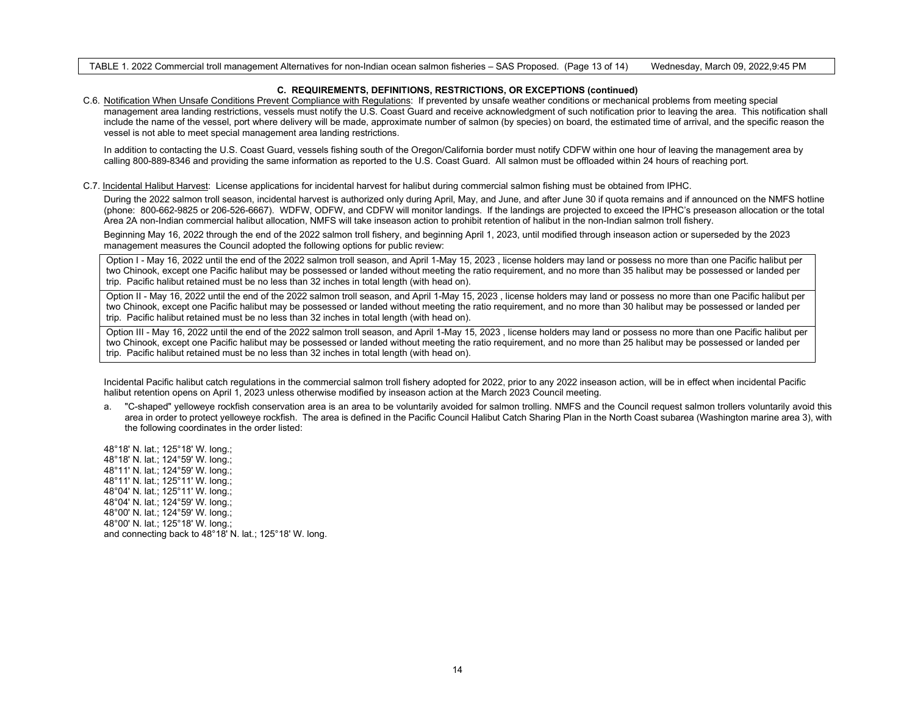#### TABLE 1. 2022 Commercial troll management Alternatives for non-Indian ocean salmon fisheries – SAS Proposed. (Page 13 of 14) Wednesday, March 09, 2022,9:45 PM

# **C. REQUIREMENTS, DEFINITIONS, RESTRICTIONS, OR EXCEPTIONS (continued)**

C.6. Notification When Unsafe Conditions Prevent Compliance with Regulations: If prevented by unsafe weather conditions or mechanical problems from meeting special management area landing restrictions, vessels must notify the U.S. Coast Guard and receive acknowledgment of such notification prior to leaving the area. This notification shall include the name of the vessel, port where delivery will be made, approximate number of salmon (by species) on board, the estimated time of arrival, and the specific reason the vessel is not able to meet special management area landing restrictions.

In addition to contacting the U.S. Coast Guard, vessels fishing south of the Oregon/California border must notify CDFW within one hour of leaving the management area by calling 800-889-8346 and providing the same information as reported to the U.S. Coast Guard. All salmon must be offloaded within 24 hours of reaching port.

#### C.7. Incidental Halibut Harvest: License applications for incidental harvest for halibut during commercial salmon fishing must be obtained from IPHC.

During the 2022 salmon troll season, incidental harvest is authorized only during April, May, and June, and after June 30 if quota remains and if announced on the NMFS hotline (phone: 800-662-9825 or 206-526-6667). WDFW, ODFW, and CDFW will monitor landings. If the landings are projected to exceed the IPHC's preseason allocation or the total Area 2A non-Indian commercial halibut allocation, NMFS will take inseason action to prohibit retention of halibut in the non-Indian salmon troll fishery.

Beginning May 16, 2022 through the end of the 2022 salmon troll fishery, and beginning April 1, 2023, until modified through inseason action or superseded by the 2023 management measures the Council adopted the following options for public review:

Option I - May 16, 2022 until the end of the 2022 salmon troll season, and April 1-May 15, 2023 , license holders may land or possess no more than one Pacific halibut per two Chinook, except one Pacific halibut may be possessed or landed without meeting the ratio requirement, and no more than 35 halibut may be possessed or landed per trip. Pacific halibut retained must be no less than 32 inches in total length (with head on).

Option II - May 16, 2022 until the end of the 2022 salmon troll season, and April 1-May 15, 2023 , license holders may land or possess no more than one Pacific halibut per two Chinook, except one Pacific halibut may be possessed or landed without meeting the ratio requirement, and no more than 30 halibut may be possessed or landed per trip. Pacific halibut retained must be no less than 32 inches in total length (with head on).

Option III - May 16, 2022 until the end of the 2022 salmon troll season, and April 1-May 15, 2023 , license holders may land or possess no more than one Pacific halibut per two Chinook, except one Pacific halibut may be possessed or landed without meeting the ratio requirement, and no more than 25 halibut may be possessed or landed per trip. Pacific halibut retained must be no less than 32 inches in total length (with head on).

Incidental Pacific halibut catch regulations in the commercial salmon troll fishery adopted for 2022, prior to any 2022 inseason action, will be in effect when incidental Pacific halibut retention opens on April 1, 2023 unless otherwise modified by inseason action at the March 2023 Council meeting.

a. "C-shaped" yelloweye rockfish conservation area is an area to be voluntarily avoided for salmon trolling. NMFS and the Council request salmon trollers voluntarily avoid this area in order to protect yelloweye rockfish. The area is defined in the Pacific Council Halibut Catch Sharing Plan in the North Coast subarea (Washington marine area 3), with the following coordinates in the order listed:

48°18' N. lat.; 125°18' W. long.; 48°18' N. lat.; 124°59' W. long.; 48°11' N. lat.; 124°59' W. long.; 48°11' N. lat.; 125°11' W. long.; 48°04' N. lat.; 125°11' W. long.; 48°04' N. lat.; 124°59' W. long.; 48°00' N. lat.; 124°59' W. long.; 48°00' N. lat.; 125°18' W. long.; and connecting back to 48°18' N. lat.; 125°18' W. long.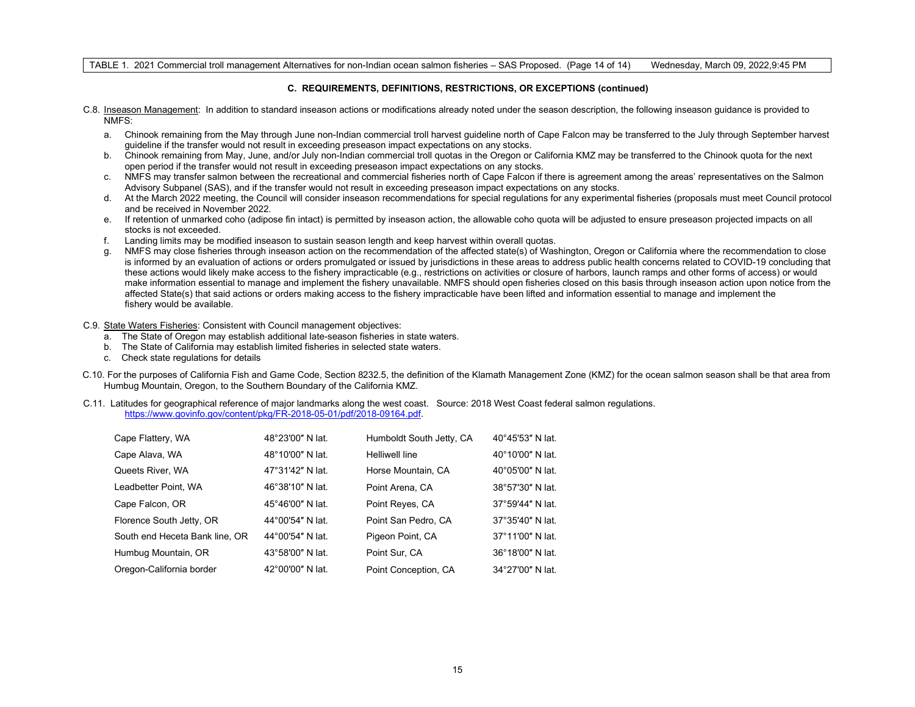TABLE 1. 2021 Commercial troll management Alternatives for non-Indian ocean salmon fisheries – SAS Proposed. (Page 14 of 14) Wednesday, March 09, 2022,9:45 PM

# **C. REQUIREMENTS, DEFINITIONS, RESTRICTIONS, OR EXCEPTIONS (continued)**

- C.8. Inseason Management: In addition to standard inseason actions or modifications already noted under the season description, the following inseason guidance is provided to NMFS:
	- a. Chinook remaining from the May through June non-Indian commercial troll harvest guideline north of Cape Falcon may be transferred to the July through September harvest guideline if the transfer would not result in exceeding preseason impact expectations on any stocks.
	- b. Chinook remaining from May, June, and/or July non-Indian commercial troll quotas in the Oregon or California KMZ may be transferred to the Chinook quota for the next open period if the transfer would not result in exceeding preseason impact expectations on any stocks.
	- c. NMFS may transfer salmon between the recreational and commercial fisheries north of Cape Falcon if there is agreement among the areas' representatives on the Salmon Advisory Subpanel (SAS), and if the transfer would not result in exceeding preseason impact expectations on any stocks.
	- d. At the March 2022 meeting, the Council will consider inseason recommendations for special regulations for any experimental fisheries (proposals must meet Council protocol and be received in November 2022.
	- e. If retention of unmarked coho (adipose fin intact) is permitted by inseason action, the allowable coho quota will be adjusted to ensure preseason projected impacts on all stocks is not exceeded.
	- f. Landing limits may be modified inseason to sustain season length and keep harvest within overall quotas.
	- g. NMFS may close fisheries through inseason action on the recommendation of the affected state(s) of Washington, Oregon or California where the recommendation to close is informed by an evaluation of actions or orders promulgated or issued by jurisdictions in these areas to address public health concerns related to COVID-19 concluding that these actions would likely make access to the fishery impracticable (e.g., restrictions on activities or closure of harbors, launch ramps and other forms of access) or would make information essential to manage and implement the fishery unavailable. NMFS should open fisheries closed on this basis through inseason action upon notice from the affected State(s) that said actions or orders making access to the fishery impracticable have been lifted and information essential to manage and implement the fishery would be available.

#### C.9. State Waters Fisheries: Consistent with Council management objectives:

- a. The State of Oregon may establish additional late-season fisheries in state waters.
- b. The State of California may establish limited fisheries in selected state waters.
- c. Check state regulations for details
- C.10. For the purposes of California Fish and Game Code, Section 8232.5, the definition of the Klamath Management Zone (KMZ) for the ocean salmon season shall be that area from Humbug Mountain, Oregon, to the Southern Boundary of the California KMZ.
- C.11. Latitudes for geographical reference of major landmarks along the west coast. Source: 2018 West Coast federal salmon regulations. [https://www.govinfo.gov/content/pkg/FR-2018-05-01/pdf/2018-09164.pdf.](https://www.govinfo.gov/content/pkg/FR-2018-05-01/pdf/2018-09164.pdf)

| Cape Flattery, WA              | 48°23'00" N lat. | Humboldt South Jetty, CA | 40°45'53" N lat. |
|--------------------------------|------------------|--------------------------|------------------|
| Cape Alava, WA                 | 48°10'00" N lat. | Helliwell line           | 40°10'00" N lat. |
| Queets River, WA               | 47°31'42" N lat. | Horse Mountain, CA       | 40°05'00" N lat. |
| Leadbetter Point, WA           | 46°38'10" N lat. | Point Arena, CA          | 38°57'30" N lat. |
| Cape Falcon, OR                | 45°46'00" N lat. | Point Reyes, CA          | 37°59'44" N lat. |
| Florence South Jetty, OR       | 44°00'54" N lat. | Point San Pedro, CA      | 37°35'40" N lat. |
| South end Heceta Bank line, OR | 44°00'54" N lat. | Pigeon Point, CA         | 37°11'00" N lat. |
| Humbug Mountain, OR            | 43°58'00" N lat. | Point Sur, CA            | 36°18'00" N lat. |
| Oregon-California border       | 42°00'00" N lat. | Point Conception, CA     | 34°27'00" N lat. |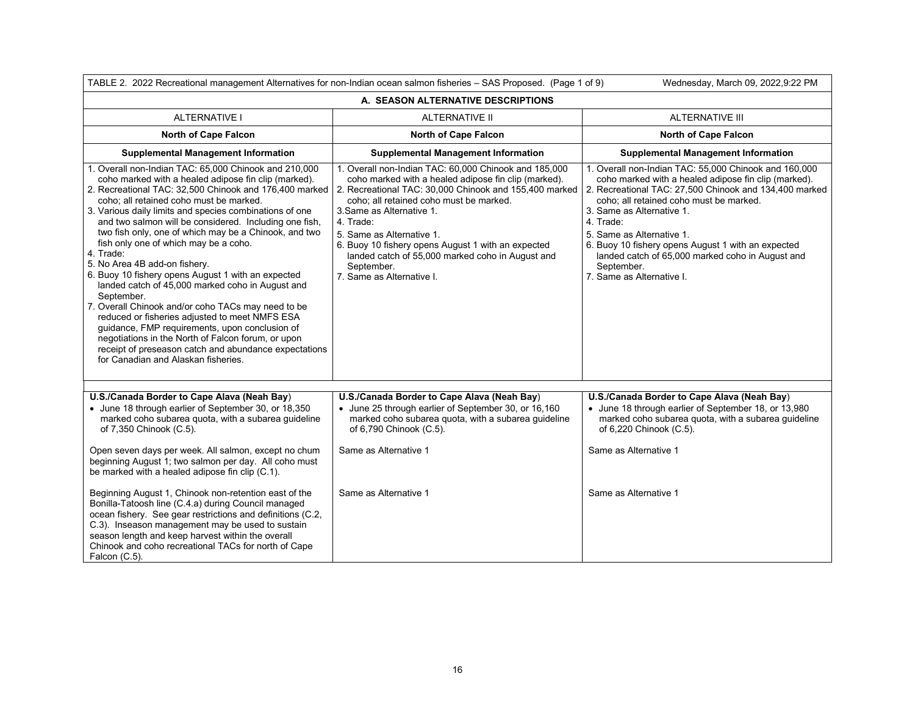| TABLE 2. 2022 Recreational management Alternatives for non-Indian ocean salmon fisheries - SAS Proposed. (Page 1 of 9)<br>Wednesday, March 09, 2022, 9:22 PM                                                                                                                                                                                                                                                                                                                                                                                                                                                                                                                                                                                                                                                                                                                                                                    |                                                                                                                                                                                                                                                                                                                                                                                                                                                |                                                                                                                                                                                                                                                                                                                                                                                                                                                |  |  |
|---------------------------------------------------------------------------------------------------------------------------------------------------------------------------------------------------------------------------------------------------------------------------------------------------------------------------------------------------------------------------------------------------------------------------------------------------------------------------------------------------------------------------------------------------------------------------------------------------------------------------------------------------------------------------------------------------------------------------------------------------------------------------------------------------------------------------------------------------------------------------------------------------------------------------------|------------------------------------------------------------------------------------------------------------------------------------------------------------------------------------------------------------------------------------------------------------------------------------------------------------------------------------------------------------------------------------------------------------------------------------------------|------------------------------------------------------------------------------------------------------------------------------------------------------------------------------------------------------------------------------------------------------------------------------------------------------------------------------------------------------------------------------------------------------------------------------------------------|--|--|
| A. SEASON ALTERNATIVE DESCRIPTIONS                                                                                                                                                                                                                                                                                                                                                                                                                                                                                                                                                                                                                                                                                                                                                                                                                                                                                              |                                                                                                                                                                                                                                                                                                                                                                                                                                                |                                                                                                                                                                                                                                                                                                                                                                                                                                                |  |  |
| <b>ALTERNATIVE I</b>                                                                                                                                                                                                                                                                                                                                                                                                                                                                                                                                                                                                                                                                                                                                                                                                                                                                                                            | <b>ALTERNATIVE II</b>                                                                                                                                                                                                                                                                                                                                                                                                                          | <b>ALTERNATIVE III</b>                                                                                                                                                                                                                                                                                                                                                                                                                         |  |  |
| <b>North of Cape Falcon</b>                                                                                                                                                                                                                                                                                                                                                                                                                                                                                                                                                                                                                                                                                                                                                                                                                                                                                                     | <b>North of Cape Falcon</b>                                                                                                                                                                                                                                                                                                                                                                                                                    | <b>North of Cape Falcon</b>                                                                                                                                                                                                                                                                                                                                                                                                                    |  |  |
| <b>Supplemental Management Information</b>                                                                                                                                                                                                                                                                                                                                                                                                                                                                                                                                                                                                                                                                                                                                                                                                                                                                                      | <b>Supplemental Management Information</b>                                                                                                                                                                                                                                                                                                                                                                                                     | <b>Supplemental Management Information</b>                                                                                                                                                                                                                                                                                                                                                                                                     |  |  |
| 1. Overall non-Indian TAC: 65,000 Chinook and 210,000<br>coho marked with a healed adipose fin clip (marked).<br>2. Recreational TAC: 32,500 Chinook and 176,400 marked<br>coho; all retained coho must be marked.<br>3. Various daily limits and species combinations of one<br>and two salmon will be considered. Including one fish,<br>two fish only, one of which may be a Chinook, and two<br>fish only one of which may be a coho.<br>4. Trade:<br>5. No Area 4B add-on fishery.<br>6. Buoy 10 fishery opens August 1 with an expected<br>landed catch of 45,000 marked coho in August and<br>September.<br>7. Overall Chinook and/or coho TACs may need to be<br>reduced or fisheries adjusted to meet NMFS ESA<br>quidance, FMP requirements, upon conclusion of<br>negotiations in the North of Falcon forum, or upon<br>receipt of preseason catch and abundance expectations<br>for Canadian and Alaskan fisheries. | 1. Overall non-Indian TAC: 60,000 Chinook and 185,000<br>coho marked with a healed adipose fin clip (marked).<br>2. Recreational TAC: 30,000 Chinook and 155,400 marked<br>coho: all retained coho must be marked.<br>3. Same as Alternative 1.<br>4. Trade:<br>5. Same as Alternative 1.<br>6. Buoy 10 fishery opens August 1 with an expected<br>landed catch of 55,000 marked coho in August and<br>September.<br>7. Same as Alternative I. | 1. Overall non-Indian TAC: 55,000 Chinook and 160,000<br>coho marked with a healed adipose fin clip (marked).<br>2. Recreational TAC: 27,500 Chinook and 134,400 marked<br>coho: all retained coho must be marked.<br>3. Same as Alternative 1.<br>4. Trade:<br>5. Same as Alternative 1.<br>6. Buoy 10 fishery opens August 1 with an expected<br>landed catch of 65,000 marked coho in August and<br>September.<br>7. Same as Alternative I. |  |  |
|                                                                                                                                                                                                                                                                                                                                                                                                                                                                                                                                                                                                                                                                                                                                                                                                                                                                                                                                 |                                                                                                                                                                                                                                                                                                                                                                                                                                                |                                                                                                                                                                                                                                                                                                                                                                                                                                                |  |  |
| U.S./Canada Border to Cape Alava (Neah Bay)<br>• June 18 through earlier of September 30, or 18,350<br>marked coho subarea quota, with a subarea guideline<br>of 7,350 Chinook (C.5).                                                                                                                                                                                                                                                                                                                                                                                                                                                                                                                                                                                                                                                                                                                                           | U.S./Canada Border to Cape Alava (Neah Bay)<br>• June 25 through earlier of September 30, or 16,160<br>marked coho subarea quota, with a subarea guideline<br>of 6,790 Chinook (C.5).                                                                                                                                                                                                                                                          | U.S./Canada Border to Cape Alava (Neah Bay)<br>• June 18 through earlier of September 18, or 13,980<br>marked coho subarea quota, with a subarea guideline<br>of 6,220 Chinook (C.5).                                                                                                                                                                                                                                                          |  |  |
| Open seven days per week. All salmon, except no chum<br>beginning August 1; two salmon per day. All coho must<br>be marked with a healed adipose fin clip (C.1).                                                                                                                                                                                                                                                                                                                                                                                                                                                                                                                                                                                                                                                                                                                                                                | Same as Alternative 1                                                                                                                                                                                                                                                                                                                                                                                                                          | Same as Alternative 1                                                                                                                                                                                                                                                                                                                                                                                                                          |  |  |
| Beginning August 1, Chinook non-retention east of the<br>Bonilla-Tatoosh line (C.4.a) during Council managed<br>ocean fishery. See gear restrictions and definitions (C.2,<br>C.3). Inseason management may be used to sustain<br>season length and keep harvest within the overall<br>Chinook and coho recreational TACs for north of Cape<br>Falcon (C.5).                                                                                                                                                                                                                                                                                                                                                                                                                                                                                                                                                                    | Same as Alternative 1                                                                                                                                                                                                                                                                                                                                                                                                                          | Same as Alternative 1                                                                                                                                                                                                                                                                                                                                                                                                                          |  |  |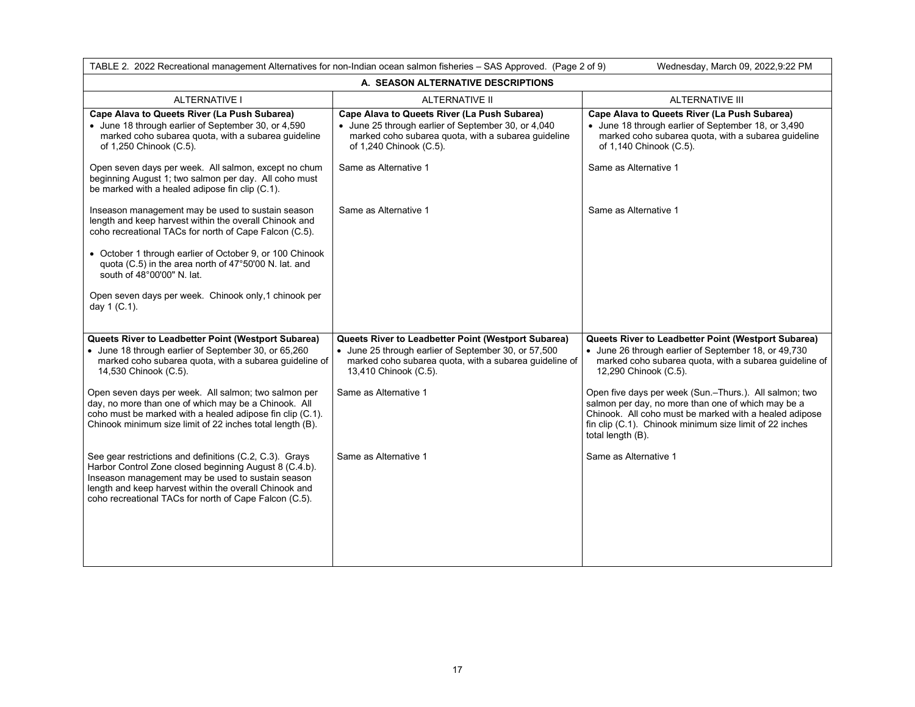| TABLE 2. 2022 Recreational management Alternatives for non-Indian ocean salmon fisheries - SAS Approved. (Page 2 of 9)<br>Wednesday, March 09, 2022,9:22 PM                                                                                                                                |                                                                                                                                                                                                |                                                                                                                                                                                                                                                        |  |  |
|--------------------------------------------------------------------------------------------------------------------------------------------------------------------------------------------------------------------------------------------------------------------------------------------|------------------------------------------------------------------------------------------------------------------------------------------------------------------------------------------------|--------------------------------------------------------------------------------------------------------------------------------------------------------------------------------------------------------------------------------------------------------|--|--|
| A. SEASON ALTERNATIVE DESCRIPTIONS                                                                                                                                                                                                                                                         |                                                                                                                                                                                                |                                                                                                                                                                                                                                                        |  |  |
| <b>ALTERNATIVE I</b>                                                                                                                                                                                                                                                                       | ALTERNATIVE II                                                                                                                                                                                 | ALTERNATIVE III                                                                                                                                                                                                                                        |  |  |
| Cape Alava to Queets River (La Push Subarea)<br>• June 18 through earlier of September 30, or 4,590<br>marked coho subarea quota, with a subarea guideline<br>of 1,250 Chinook (C.5).                                                                                                      | Cape Alava to Queets River (La Push Subarea)<br>• June 25 through earlier of September 30, or 4,040<br>marked coho subarea quota, with a subarea guideline<br>of 1,240 Chinook (C.5).          | Cape Alava to Queets River (La Push Subarea)<br>• June 18 through earlier of September 18, or 3,490<br>marked coho subarea quota, with a subarea guideline<br>of 1,140 Chinook (C.5).                                                                  |  |  |
| Open seven days per week. All salmon, except no chum<br>beginning August 1; two salmon per day. All coho must<br>be marked with a healed adipose fin clip (C.1).                                                                                                                           | Same as Alternative 1                                                                                                                                                                          | Same as Alternative 1                                                                                                                                                                                                                                  |  |  |
| Inseason management may be used to sustain season<br>length and keep harvest within the overall Chinook and<br>coho recreational TACs for north of Cape Falcon (C.5).                                                                                                                      | Same as Alternative 1                                                                                                                                                                          | Same as Alternative 1                                                                                                                                                                                                                                  |  |  |
| • October 1 through earlier of October 9, or 100 Chinook<br>quota (C.5) in the area north of 47°50'00 N. lat. and<br>south of 48°00'00" N. lat.                                                                                                                                            |                                                                                                                                                                                                |                                                                                                                                                                                                                                                        |  |  |
| Open seven days per week. Chinook only, 1 chinook per<br>day 1 (C.1).                                                                                                                                                                                                                      |                                                                                                                                                                                                |                                                                                                                                                                                                                                                        |  |  |
| Queets River to Leadbetter Point (Westport Subarea)<br>• June 18 through earlier of September 30, or 65,260<br>marked coho subarea quota, with a subarea guideline of<br>14,530 Chinook (C.5).                                                                                             | Queets River to Leadbetter Point (Westport Subarea)<br>• June 25 through earlier of September 30, or 57,500<br>marked coho subarea quota, with a subarea guideline of<br>13,410 Chinook (C.5). | Queets River to Leadbetter Point (Westport Subarea)<br>• June 26 through earlier of September 18, or 49,730<br>marked coho subarea quota, with a subarea guideline of<br>12,290 Chinook (C.5).                                                         |  |  |
| Open seven days per week. All salmon; two salmon per<br>day, no more than one of which may be a Chinook. All<br>coho must be marked with a healed adipose fin clip (C.1).<br>Chinook minimum size limit of 22 inches total length (B).                                                     | Same as Alternative 1                                                                                                                                                                          | Open five days per week (Sun.-Thurs.). All salmon; two<br>salmon per day, no more than one of which may be a<br>Chinook. All coho must be marked with a healed adipose<br>fin clip (C.1). Chinook minimum size limit of 22 inches<br>total length (B). |  |  |
| See gear restrictions and definitions (C.2, C.3). Grays<br>Harbor Control Zone closed beginning August 8 (C.4.b).<br>Inseason management may be used to sustain season<br>length and keep harvest within the overall Chinook and<br>coho recreational TACs for north of Cape Falcon (C.5). | Same as Alternative 1                                                                                                                                                                          | Same as Alternative 1                                                                                                                                                                                                                                  |  |  |
|                                                                                                                                                                                                                                                                                            |                                                                                                                                                                                                |                                                                                                                                                                                                                                                        |  |  |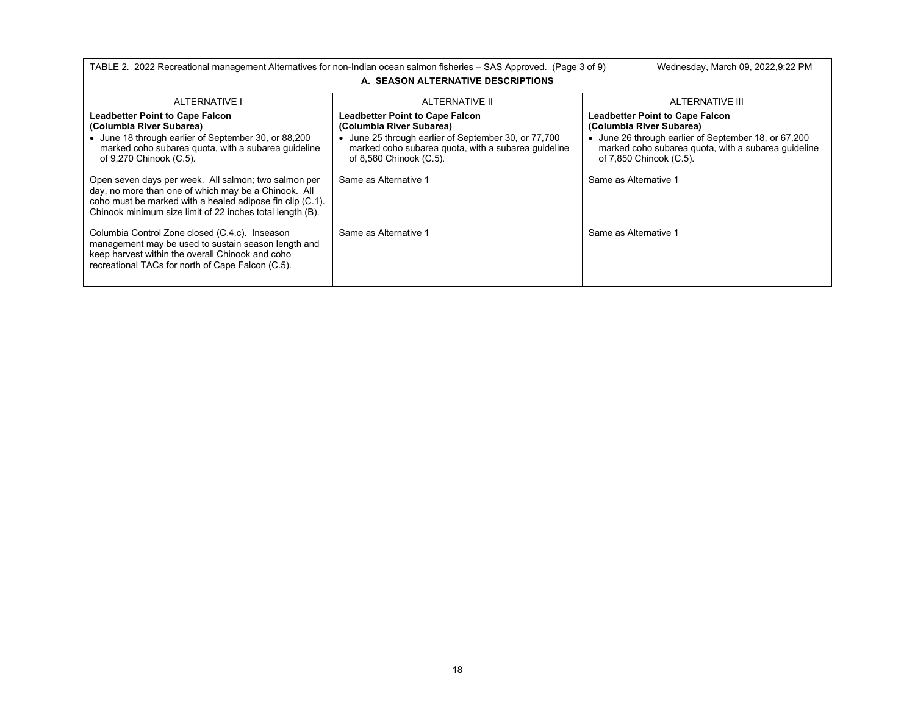| TABLE 2. 2022 Recreational management Alternatives for non-Indian ocean salmon fisheries – SAS Approved. (Page 3 of 9)<br>Wednesday, March 09, 2022,9:22 PM                                                                                                                                                                              |                                                                                                                                                                                                                                       |                                                                                                                                                                                                                                       |  |  |
|------------------------------------------------------------------------------------------------------------------------------------------------------------------------------------------------------------------------------------------------------------------------------------------------------------------------------------------|---------------------------------------------------------------------------------------------------------------------------------------------------------------------------------------------------------------------------------------|---------------------------------------------------------------------------------------------------------------------------------------------------------------------------------------------------------------------------------------|--|--|
| A. SEASON ALTERNATIVE DESCRIPTIONS                                                                                                                                                                                                                                                                                                       |                                                                                                                                                                                                                                       |                                                                                                                                                                                                                                       |  |  |
| <b>ALTERNATIVE I</b>                                                                                                                                                                                                                                                                                                                     | ALTERNATIVE II                                                                                                                                                                                                                        | ALTERNATIVE III                                                                                                                                                                                                                       |  |  |
| Leadbetter Point to Cape Falcon<br>(Columbia River Subarea)<br>• June 18 through earlier of September 30, or 88,200<br>marked coho subarea quota, with a subarea guideline<br>of 9,270 Chinook (C.5).<br>Open seven days per week. All salmon; two salmon per<br>day, no more than one of which may be a Chinook. All                    | <b>Leadbetter Point to Cape Falcon</b><br>(Columbia River Subarea)<br>• June 25 through earlier of September 30, or 77,700<br>marked coho subarea quota, with a subarea guideline<br>of 8,560 Chinook (C.5).<br>Same as Alternative 1 | <b>Leadbetter Point to Cape Falcon</b><br>(Columbia River Subarea)<br>• June 26 through earlier of September 18, or 67,200<br>marked coho subarea quota, with a subarea guideline<br>of 7,850 Chinook (C.5).<br>Same as Alternative 1 |  |  |
| coho must be marked with a healed adipose fin clip (C.1).<br>Chinook minimum size limit of 22 inches total length (B).<br>Columbia Control Zone closed (C.4.c). Inseason<br>management may be used to sustain season length and<br>keep harvest within the overall Chinook and coho<br>recreational TACs for north of Cape Falcon (C.5). | Same as Alternative 1                                                                                                                                                                                                                 | Same as Alternative 1                                                                                                                                                                                                                 |  |  |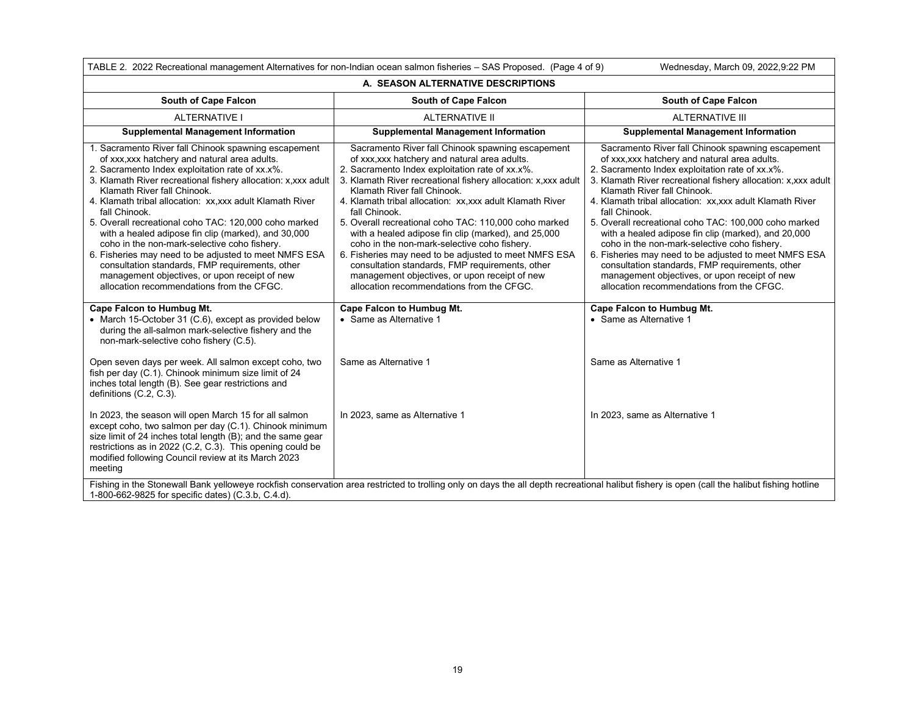| TABLE 2. 2022 Recreational management Alternatives for non-Indian ocean salmon fisheries - SAS Proposed. (Page 4 of 9)<br>Wednesday, March 09, 2022,9:22 PM                                                                                                                                                                                                                                                                                                                                                                                                                                                                                                                                                       |                                                                                                                                                                                                                                                                                                                                                                                                                                                                                                                                                                                                                                                                                                                |                                                                                                                                                                                                                                                                                                                                                                                                                                                                                                                                                                                                                                                                                                                |  |  |
|-------------------------------------------------------------------------------------------------------------------------------------------------------------------------------------------------------------------------------------------------------------------------------------------------------------------------------------------------------------------------------------------------------------------------------------------------------------------------------------------------------------------------------------------------------------------------------------------------------------------------------------------------------------------------------------------------------------------|----------------------------------------------------------------------------------------------------------------------------------------------------------------------------------------------------------------------------------------------------------------------------------------------------------------------------------------------------------------------------------------------------------------------------------------------------------------------------------------------------------------------------------------------------------------------------------------------------------------------------------------------------------------------------------------------------------------|----------------------------------------------------------------------------------------------------------------------------------------------------------------------------------------------------------------------------------------------------------------------------------------------------------------------------------------------------------------------------------------------------------------------------------------------------------------------------------------------------------------------------------------------------------------------------------------------------------------------------------------------------------------------------------------------------------------|--|--|
| A. SEASON ALTERNATIVE DESCRIPTIONS                                                                                                                                                                                                                                                                                                                                                                                                                                                                                                                                                                                                                                                                                |                                                                                                                                                                                                                                                                                                                                                                                                                                                                                                                                                                                                                                                                                                                |                                                                                                                                                                                                                                                                                                                                                                                                                                                                                                                                                                                                                                                                                                                |  |  |
| South of Cape Falcon                                                                                                                                                                                                                                                                                                                                                                                                                                                                                                                                                                                                                                                                                              | South of Cape Falcon                                                                                                                                                                                                                                                                                                                                                                                                                                                                                                                                                                                                                                                                                           | South of Cape Falcon                                                                                                                                                                                                                                                                                                                                                                                                                                                                                                                                                                                                                                                                                           |  |  |
| <b>ALTERNATIVE I</b>                                                                                                                                                                                                                                                                                                                                                                                                                                                                                                                                                                                                                                                                                              | <b>ALTERNATIVE II</b>                                                                                                                                                                                                                                                                                                                                                                                                                                                                                                                                                                                                                                                                                          | <b>ALTERNATIVE III</b>                                                                                                                                                                                                                                                                                                                                                                                                                                                                                                                                                                                                                                                                                         |  |  |
| <b>Supplemental Management Information</b>                                                                                                                                                                                                                                                                                                                                                                                                                                                                                                                                                                                                                                                                        | <b>Supplemental Management Information</b>                                                                                                                                                                                                                                                                                                                                                                                                                                                                                                                                                                                                                                                                     | <b>Supplemental Management Information</b>                                                                                                                                                                                                                                                                                                                                                                                                                                                                                                                                                                                                                                                                     |  |  |
| 1. Sacramento River fall Chinook spawning escapement<br>of xxx, xxx hatchery and natural area adults.<br>2. Sacramento Index exploitation rate of xx.x%.<br>3. Klamath River recreational fishery allocation: x, xxx adult<br>Klamath River fall Chinook.<br>4. Klamath tribal allocation: xx, xxx adult Klamath River<br>fall Chinook.<br>5. Overall recreational coho TAC: 120,000 coho marked<br>with a healed adipose fin clip (marked), and 30,000<br>coho in the non-mark-selective coho fishery.<br>6. Fisheries may need to be adjusted to meet NMFS ESA<br>consultation standards, FMP requirements, other<br>management objectives, or upon receipt of new<br>allocation recommendations from the CFGC. | Sacramento River fall Chinook spawning escapement<br>of xxx, xxx hatchery and natural area adults.<br>2. Sacramento Index exploitation rate of xx.x%.<br>3. Klamath River recreational fishery allocation: x, xxx adult<br>Klamath River fall Chinook.<br>4. Klamath tribal allocation: xx, xxx adult Klamath River<br>fall Chinook.<br>5. Overall recreational coho TAC: 110,000 coho marked<br>with a healed adipose fin clip (marked), and 25,000<br>coho in the non-mark-selective coho fishery.<br>6. Fisheries may need to be adjusted to meet NMFS ESA<br>consultation standards, FMP requirements, other<br>management objectives, or upon receipt of new<br>allocation recommendations from the CFGC. | Sacramento River fall Chinook spawning escapement<br>of xxx, xxx hatchery and natural area adults.<br>2. Sacramento Index exploitation rate of xx.x%.<br>3. Klamath River recreational fishery allocation: x, xxx adult<br>Klamath River fall Chinook.<br>4. Klamath tribal allocation: xx, xxx adult Klamath River<br>fall Chinook.<br>5. Overall recreational coho TAC: 100,000 coho marked<br>with a healed adipose fin clip (marked), and 20,000<br>coho in the non-mark-selective coho fishery.<br>6. Fisheries may need to be adjusted to meet NMFS ESA<br>consultation standards, FMP requirements, other<br>management objectives, or upon receipt of new<br>allocation recommendations from the CFGC. |  |  |
| Cape Falcon to Humbug Mt.<br>• March 15-October 31 (C.6), except as provided below<br>during the all-salmon mark-selective fishery and the<br>non-mark-selective coho fishery (C.5).                                                                                                                                                                                                                                                                                                                                                                                                                                                                                                                              | Cape Falcon to Humbug Mt.<br>• Same as Alternative 1                                                                                                                                                                                                                                                                                                                                                                                                                                                                                                                                                                                                                                                           | Cape Falcon to Humbug Mt.<br>• Same as Alternative 1                                                                                                                                                                                                                                                                                                                                                                                                                                                                                                                                                                                                                                                           |  |  |
| Open seven days per week. All salmon except coho, two<br>fish per day (C.1). Chinook minimum size limit of 24<br>inches total length (B). See gear restrictions and<br>definitions (C.2, C.3).                                                                                                                                                                                                                                                                                                                                                                                                                                                                                                                    | Same as Alternative 1                                                                                                                                                                                                                                                                                                                                                                                                                                                                                                                                                                                                                                                                                          | Same as Alternative 1                                                                                                                                                                                                                                                                                                                                                                                                                                                                                                                                                                                                                                                                                          |  |  |
| In 2023, the season will open March 15 for all salmon<br>except coho, two salmon per day (C.1). Chinook minimum<br>size limit of 24 inches total length (B); and the same gear<br>restrictions as in 2022 (C.2, C.3). This opening could be<br>modified following Council review at its March 2023<br>meeting                                                                                                                                                                                                                                                                                                                                                                                                     | In 2023, same as Alternative 1                                                                                                                                                                                                                                                                                                                                                                                                                                                                                                                                                                                                                                                                                 | In 2023, same as Alternative 1                                                                                                                                                                                                                                                                                                                                                                                                                                                                                                                                                                                                                                                                                 |  |  |
| Fishing in the Stonewall Bank yelloweye rockfish conservation area restricted to trolling only on days the all depth recreational halibut fishery is open (call the halibut fishing hotline<br>1-800-662-9825 for specific dates) (C.3.b, C.4.d).                                                                                                                                                                                                                                                                                                                                                                                                                                                                 |                                                                                                                                                                                                                                                                                                                                                                                                                                                                                                                                                                                                                                                                                                                |                                                                                                                                                                                                                                                                                                                                                                                                                                                                                                                                                                                                                                                                                                                |  |  |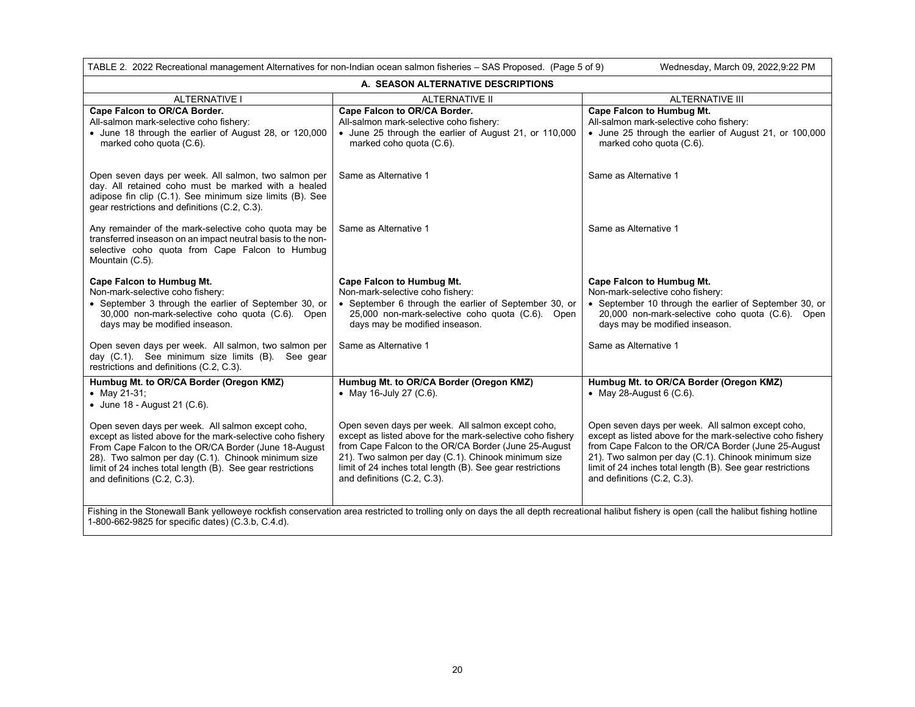| TABLE 2. 2022 Recreational management Alternatives for non-Indian ocean salmon fisheries - SAS Proposed. (Page 5 of 9)<br>Wednesday, March 09, 2022,9:22 PM                                                                                                                                                                 |                                                                                                                                                                                                                                                                                                                             |                                                                                                                                                                                                                                                                                                                             |  |  |
|-----------------------------------------------------------------------------------------------------------------------------------------------------------------------------------------------------------------------------------------------------------------------------------------------------------------------------|-----------------------------------------------------------------------------------------------------------------------------------------------------------------------------------------------------------------------------------------------------------------------------------------------------------------------------|-----------------------------------------------------------------------------------------------------------------------------------------------------------------------------------------------------------------------------------------------------------------------------------------------------------------------------|--|--|
| A. SEASON ALTERNATIVE DESCRIPTIONS                                                                                                                                                                                                                                                                                          |                                                                                                                                                                                                                                                                                                                             |                                                                                                                                                                                                                                                                                                                             |  |  |
| <b>ALTERNATIVE I</b>                                                                                                                                                                                                                                                                                                        | <b>ALTERNATIVE II</b>                                                                                                                                                                                                                                                                                                       | <b>ALTERNATIVE III</b>                                                                                                                                                                                                                                                                                                      |  |  |
| Cape Falcon to OR/CA Border.<br>All-salmon mark-selective coho fishery:<br>• June 18 through the earlier of August 28, or 120,000<br>marked coho quota (C.6).                                                                                                                                                               | Cape Falcon to OR/CA Border.<br>All-salmon mark-selective coho fishery:<br>• June 25 through the earlier of August 21, or 110,000<br>marked coho quota (C.6).                                                                                                                                                               | Cape Falcon to Humbug Mt.<br>All-salmon mark-selective coho fishery:<br>• June 25 through the earlier of August 21, or 100,000<br>marked coho quota (C.6).                                                                                                                                                                  |  |  |
| Open seven days per week. All salmon, two salmon per<br>day. All retained coho must be marked with a healed<br>adipose fin clip (C.1). See minimum size limits (B). See<br>gear restrictions and definitions (C.2, C.3).                                                                                                    | Same as Alternative 1                                                                                                                                                                                                                                                                                                       | Same as Alternative 1                                                                                                                                                                                                                                                                                                       |  |  |
| Any remainder of the mark-selective coho quota may be<br>transferred inseason on an impact neutral basis to the non-<br>selective coho quota from Cape Falcon to Humbug<br>Mountain (C.5).                                                                                                                                  | Same as Alternative 1                                                                                                                                                                                                                                                                                                       | Same as Alternative 1                                                                                                                                                                                                                                                                                                       |  |  |
| <b>Cape Falcon to Humbug Mt.</b><br>Non-mark-selective coho fishery:<br>• September 3 through the earlier of September 30, or<br>30,000 non-mark-selective coho quota (C.6). Open<br>days may be modified inseason.                                                                                                         | Cape Falcon to Humbug Mt.<br>Non-mark-selective coho fishery:<br>• September 6 through the earlier of September 30, or<br>25,000 non-mark-selective coho quota (C.6). Open<br>days may be modified inseason.                                                                                                                | Cape Falcon to Humbug Mt.<br>Non-mark-selective coho fishery:<br>• September 10 through the earlier of September 30, or<br>20,000 non-mark-selective coho quota (C.6). Open<br>days may be modified inseason.                                                                                                               |  |  |
| Open seven days per week. All salmon, two salmon per<br>day (C.1). See minimum size limits (B). See gear<br>restrictions and definitions (C.2, C.3).                                                                                                                                                                        | Same as Alternative 1                                                                                                                                                                                                                                                                                                       | Same as Alternative 1                                                                                                                                                                                                                                                                                                       |  |  |
| Humbug Mt. to OR/CA Border (Oregon KMZ)<br>• May 21-31;<br>• June 18 - August 21 $(C.6)$ .                                                                                                                                                                                                                                  | Humbug Mt. to OR/CA Border (Oregon KMZ)<br>• May 16-July 27 (C.6).                                                                                                                                                                                                                                                          | Humbug Mt. to OR/CA Border (Oregon KMZ)<br>• May 28-August $6$ (C.6).                                                                                                                                                                                                                                                       |  |  |
| Open seven days per week. All salmon except coho,<br>except as listed above for the mark-selective coho fishery<br>From Cape Falcon to the OR/CA Border (June 18-August<br>28). Two salmon per day (C.1). Chinook minimum size<br>limit of 24 inches total length (B). See gear restrictions<br>and definitions (C.2, C.3). | Open seven days per week. All salmon except coho,<br>except as listed above for the mark-selective coho fishery<br>from Cape Falcon to the OR/CA Border (June 25-August<br>21). Two salmon per day (C.1). Chinook minimum size<br>limit of 24 inches total length (B). See gear restrictions<br>and definitions (C.2, C.3). | Open seven days per week. All salmon except coho,<br>except as listed above for the mark-selective coho fishery<br>from Cape Falcon to the OR/CA Border (June 25-August<br>21). Two salmon per day (C.1). Chinook minimum size<br>limit of 24 inches total length (B). See gear restrictions<br>and definitions (C.2, C.3). |  |  |
| Fishing in the Stonewall Bank yelloweye rockfish conservation area restricted to trolling only on days the all depth recreational halibut fishery is open (call the halibut fishing hotline<br>1-800-662-9825 for specific dates) (C.3.b, C.4.d).                                                                           |                                                                                                                                                                                                                                                                                                                             |                                                                                                                                                                                                                                                                                                                             |  |  |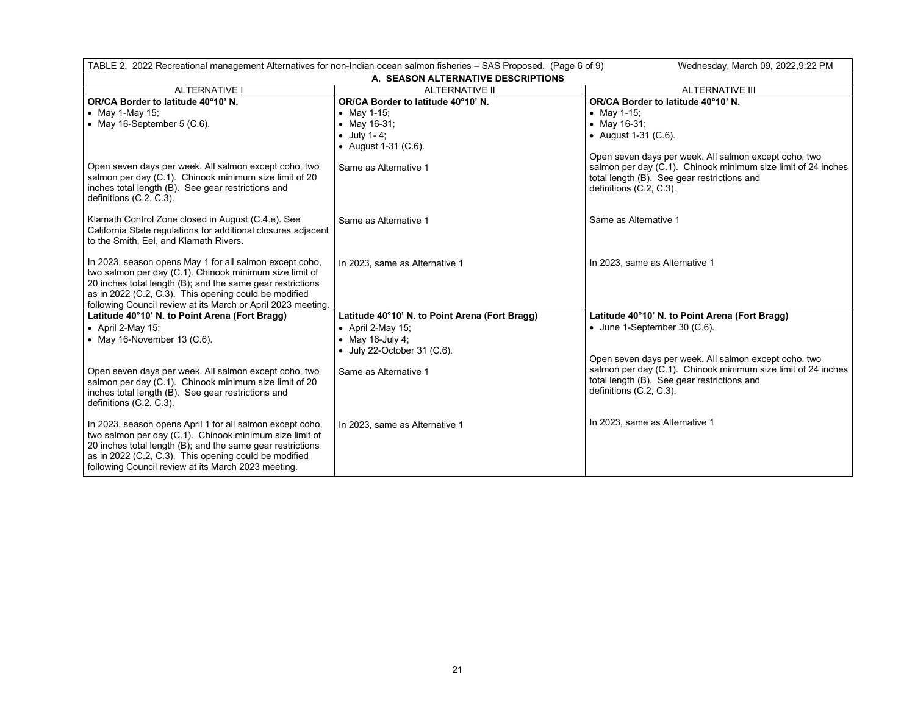| A. SEASON ALTERNATIVE DESCRIPTIONS<br><b>ALTERNATIVE I</b><br><b>ALTERNATIVE III</b><br><b>ALTERNATIVE II</b><br>OR/CA Border to latitude 40°10' N.<br>OR/CA Border to latitude 40°10' N.<br>OR/CA Border to latitude 40°10' N.<br>• May 1-May 15;<br>• May 1-15;<br>• May 1-15;<br>• May 16-31;<br>• May 16-September 5 $(C.6)$ .<br>• May $16-31$ ;<br>$\bullet$ July 1-4;<br>• August 1-31 (C.6).<br>• August 1-31 (C.6).<br>Open seven days per week. All salmon except coho, two<br>Open seven days per week. All salmon except coho, two<br>salmon per day (C.1). Chinook minimum size limit of 24 inches<br>Same as Alternative 1<br>salmon per day (C.1). Chinook minimum size limit of 20<br>total length (B). See gear restrictions and<br>inches total length (B). See gear restrictions and<br>definitions (C.2, C.3).<br>definitions (C.2, C.3).<br>Klamath Control Zone closed in August (C.4.e). See<br>Same as Alternative 1<br>Same as Alternative 1<br>California State regulations for additional closures adjacent<br>to the Smith, Eel, and Klamath Rivers.<br>In 2023, season opens May 1 for all salmon except coho,<br>In 2023, same as Alternative 1<br>In 2023, same as Alternative 1<br>two salmon per day (C.1). Chinook minimum size limit of<br>20 inches total length (B); and the same gear restrictions<br>as in 2022 (C.2, C.3). This opening could be modified<br>following Council review at its March or April 2023 meeting.<br>Latitude 40°10' N. to Point Arena (Fort Bragg)<br>Latitude 40°10' N. to Point Arena (Fort Bragg)<br>Latitude 40°10' N. to Point Arena (Fort Bragg)<br>$\bullet$ June 1-September 30 (C.6).<br>• April 2-May 15;<br>• April 2-May 15;<br>• May 16-November 13 $(C.6)$ .<br>• May 16-July 4;<br>• July 22-October 31 (C.6).<br>Open seven days per week. All salmon except coho, two<br>salmon per day (C.1). Chinook minimum size limit of 24 inches<br>Open seven days per week. All salmon except coho, two<br>Same as Alternative 1<br>total length (B). See gear restrictions and<br>salmon per day (C.1). Chinook minimum size limit of 20<br>definitions (C.2, C.3).<br>inches total length (B). See gear restrictions and<br>definitions (C.2, C.3). | TABLE 2. 2022 Recreational management Alternatives for non-Indian ocean salmon fisheries - SAS Proposed. (Page 6 of 9)<br>Wednesday, March 09, 2022,9:22 PM |  |  |  |  |
|---------------------------------------------------------------------------------------------------------------------------------------------------------------------------------------------------------------------------------------------------------------------------------------------------------------------------------------------------------------------------------------------------------------------------------------------------------------------------------------------------------------------------------------------------------------------------------------------------------------------------------------------------------------------------------------------------------------------------------------------------------------------------------------------------------------------------------------------------------------------------------------------------------------------------------------------------------------------------------------------------------------------------------------------------------------------------------------------------------------------------------------------------------------------------------------------------------------------------------------------------------------------------------------------------------------------------------------------------------------------------------------------------------------------------------------------------------------------------------------------------------------------------------------------------------------------------------------------------------------------------------------------------------------------------------------------------------------------------------------------------------------------------------------------------------------------------------------------------------------------------------------------------------------------------------------------------------------------------------------------------------------------------------------------------------------------------------------------------------------------------------------------------------------------------------------------------------------------------------|-------------------------------------------------------------------------------------------------------------------------------------------------------------|--|--|--|--|
|                                                                                                                                                                                                                                                                                                                                                                                                                                                                                                                                                                                                                                                                                                                                                                                                                                                                                                                                                                                                                                                                                                                                                                                                                                                                                                                                                                                                                                                                                                                                                                                                                                                                                                                                                                                                                                                                                                                                                                                                                                                                                                                                                                                                                                 |                                                                                                                                                             |  |  |  |  |
|                                                                                                                                                                                                                                                                                                                                                                                                                                                                                                                                                                                                                                                                                                                                                                                                                                                                                                                                                                                                                                                                                                                                                                                                                                                                                                                                                                                                                                                                                                                                                                                                                                                                                                                                                                                                                                                                                                                                                                                                                                                                                                                                                                                                                                 |                                                                                                                                                             |  |  |  |  |
|                                                                                                                                                                                                                                                                                                                                                                                                                                                                                                                                                                                                                                                                                                                                                                                                                                                                                                                                                                                                                                                                                                                                                                                                                                                                                                                                                                                                                                                                                                                                                                                                                                                                                                                                                                                                                                                                                                                                                                                                                                                                                                                                                                                                                                 |                                                                                                                                                             |  |  |  |  |
|                                                                                                                                                                                                                                                                                                                                                                                                                                                                                                                                                                                                                                                                                                                                                                                                                                                                                                                                                                                                                                                                                                                                                                                                                                                                                                                                                                                                                                                                                                                                                                                                                                                                                                                                                                                                                                                                                                                                                                                                                                                                                                                                                                                                                                 |                                                                                                                                                             |  |  |  |  |
|                                                                                                                                                                                                                                                                                                                                                                                                                                                                                                                                                                                                                                                                                                                                                                                                                                                                                                                                                                                                                                                                                                                                                                                                                                                                                                                                                                                                                                                                                                                                                                                                                                                                                                                                                                                                                                                                                                                                                                                                                                                                                                                                                                                                                                 |                                                                                                                                                             |  |  |  |  |
|                                                                                                                                                                                                                                                                                                                                                                                                                                                                                                                                                                                                                                                                                                                                                                                                                                                                                                                                                                                                                                                                                                                                                                                                                                                                                                                                                                                                                                                                                                                                                                                                                                                                                                                                                                                                                                                                                                                                                                                                                                                                                                                                                                                                                                 |                                                                                                                                                             |  |  |  |  |
|                                                                                                                                                                                                                                                                                                                                                                                                                                                                                                                                                                                                                                                                                                                                                                                                                                                                                                                                                                                                                                                                                                                                                                                                                                                                                                                                                                                                                                                                                                                                                                                                                                                                                                                                                                                                                                                                                                                                                                                                                                                                                                                                                                                                                                 |                                                                                                                                                             |  |  |  |  |
|                                                                                                                                                                                                                                                                                                                                                                                                                                                                                                                                                                                                                                                                                                                                                                                                                                                                                                                                                                                                                                                                                                                                                                                                                                                                                                                                                                                                                                                                                                                                                                                                                                                                                                                                                                                                                                                                                                                                                                                                                                                                                                                                                                                                                                 |                                                                                                                                                             |  |  |  |  |
|                                                                                                                                                                                                                                                                                                                                                                                                                                                                                                                                                                                                                                                                                                                                                                                                                                                                                                                                                                                                                                                                                                                                                                                                                                                                                                                                                                                                                                                                                                                                                                                                                                                                                                                                                                                                                                                                                                                                                                                                                                                                                                                                                                                                                                 |                                                                                                                                                             |  |  |  |  |
|                                                                                                                                                                                                                                                                                                                                                                                                                                                                                                                                                                                                                                                                                                                                                                                                                                                                                                                                                                                                                                                                                                                                                                                                                                                                                                                                                                                                                                                                                                                                                                                                                                                                                                                                                                                                                                                                                                                                                                                                                                                                                                                                                                                                                                 |                                                                                                                                                             |  |  |  |  |
|                                                                                                                                                                                                                                                                                                                                                                                                                                                                                                                                                                                                                                                                                                                                                                                                                                                                                                                                                                                                                                                                                                                                                                                                                                                                                                                                                                                                                                                                                                                                                                                                                                                                                                                                                                                                                                                                                                                                                                                                                                                                                                                                                                                                                                 |                                                                                                                                                             |  |  |  |  |
|                                                                                                                                                                                                                                                                                                                                                                                                                                                                                                                                                                                                                                                                                                                                                                                                                                                                                                                                                                                                                                                                                                                                                                                                                                                                                                                                                                                                                                                                                                                                                                                                                                                                                                                                                                                                                                                                                                                                                                                                                                                                                                                                                                                                                                 |                                                                                                                                                             |  |  |  |  |
|                                                                                                                                                                                                                                                                                                                                                                                                                                                                                                                                                                                                                                                                                                                                                                                                                                                                                                                                                                                                                                                                                                                                                                                                                                                                                                                                                                                                                                                                                                                                                                                                                                                                                                                                                                                                                                                                                                                                                                                                                                                                                                                                                                                                                                 |                                                                                                                                                             |  |  |  |  |
|                                                                                                                                                                                                                                                                                                                                                                                                                                                                                                                                                                                                                                                                                                                                                                                                                                                                                                                                                                                                                                                                                                                                                                                                                                                                                                                                                                                                                                                                                                                                                                                                                                                                                                                                                                                                                                                                                                                                                                                                                                                                                                                                                                                                                                 |                                                                                                                                                             |  |  |  |  |
|                                                                                                                                                                                                                                                                                                                                                                                                                                                                                                                                                                                                                                                                                                                                                                                                                                                                                                                                                                                                                                                                                                                                                                                                                                                                                                                                                                                                                                                                                                                                                                                                                                                                                                                                                                                                                                                                                                                                                                                                                                                                                                                                                                                                                                 |                                                                                                                                                             |  |  |  |  |
|                                                                                                                                                                                                                                                                                                                                                                                                                                                                                                                                                                                                                                                                                                                                                                                                                                                                                                                                                                                                                                                                                                                                                                                                                                                                                                                                                                                                                                                                                                                                                                                                                                                                                                                                                                                                                                                                                                                                                                                                                                                                                                                                                                                                                                 |                                                                                                                                                             |  |  |  |  |
|                                                                                                                                                                                                                                                                                                                                                                                                                                                                                                                                                                                                                                                                                                                                                                                                                                                                                                                                                                                                                                                                                                                                                                                                                                                                                                                                                                                                                                                                                                                                                                                                                                                                                                                                                                                                                                                                                                                                                                                                                                                                                                                                                                                                                                 |                                                                                                                                                             |  |  |  |  |
|                                                                                                                                                                                                                                                                                                                                                                                                                                                                                                                                                                                                                                                                                                                                                                                                                                                                                                                                                                                                                                                                                                                                                                                                                                                                                                                                                                                                                                                                                                                                                                                                                                                                                                                                                                                                                                                                                                                                                                                                                                                                                                                                                                                                                                 |                                                                                                                                                             |  |  |  |  |
|                                                                                                                                                                                                                                                                                                                                                                                                                                                                                                                                                                                                                                                                                                                                                                                                                                                                                                                                                                                                                                                                                                                                                                                                                                                                                                                                                                                                                                                                                                                                                                                                                                                                                                                                                                                                                                                                                                                                                                                                                                                                                                                                                                                                                                 |                                                                                                                                                             |  |  |  |  |
|                                                                                                                                                                                                                                                                                                                                                                                                                                                                                                                                                                                                                                                                                                                                                                                                                                                                                                                                                                                                                                                                                                                                                                                                                                                                                                                                                                                                                                                                                                                                                                                                                                                                                                                                                                                                                                                                                                                                                                                                                                                                                                                                                                                                                                 |                                                                                                                                                             |  |  |  |  |
|                                                                                                                                                                                                                                                                                                                                                                                                                                                                                                                                                                                                                                                                                                                                                                                                                                                                                                                                                                                                                                                                                                                                                                                                                                                                                                                                                                                                                                                                                                                                                                                                                                                                                                                                                                                                                                                                                                                                                                                                                                                                                                                                                                                                                                 |                                                                                                                                                             |  |  |  |  |
|                                                                                                                                                                                                                                                                                                                                                                                                                                                                                                                                                                                                                                                                                                                                                                                                                                                                                                                                                                                                                                                                                                                                                                                                                                                                                                                                                                                                                                                                                                                                                                                                                                                                                                                                                                                                                                                                                                                                                                                                                                                                                                                                                                                                                                 |                                                                                                                                                             |  |  |  |  |
|                                                                                                                                                                                                                                                                                                                                                                                                                                                                                                                                                                                                                                                                                                                                                                                                                                                                                                                                                                                                                                                                                                                                                                                                                                                                                                                                                                                                                                                                                                                                                                                                                                                                                                                                                                                                                                                                                                                                                                                                                                                                                                                                                                                                                                 |                                                                                                                                                             |  |  |  |  |
|                                                                                                                                                                                                                                                                                                                                                                                                                                                                                                                                                                                                                                                                                                                                                                                                                                                                                                                                                                                                                                                                                                                                                                                                                                                                                                                                                                                                                                                                                                                                                                                                                                                                                                                                                                                                                                                                                                                                                                                                                                                                                                                                                                                                                                 |                                                                                                                                                             |  |  |  |  |
|                                                                                                                                                                                                                                                                                                                                                                                                                                                                                                                                                                                                                                                                                                                                                                                                                                                                                                                                                                                                                                                                                                                                                                                                                                                                                                                                                                                                                                                                                                                                                                                                                                                                                                                                                                                                                                                                                                                                                                                                                                                                                                                                                                                                                                 |                                                                                                                                                             |  |  |  |  |
|                                                                                                                                                                                                                                                                                                                                                                                                                                                                                                                                                                                                                                                                                                                                                                                                                                                                                                                                                                                                                                                                                                                                                                                                                                                                                                                                                                                                                                                                                                                                                                                                                                                                                                                                                                                                                                                                                                                                                                                                                                                                                                                                                                                                                                 |                                                                                                                                                             |  |  |  |  |
|                                                                                                                                                                                                                                                                                                                                                                                                                                                                                                                                                                                                                                                                                                                                                                                                                                                                                                                                                                                                                                                                                                                                                                                                                                                                                                                                                                                                                                                                                                                                                                                                                                                                                                                                                                                                                                                                                                                                                                                                                                                                                                                                                                                                                                 |                                                                                                                                                             |  |  |  |  |
|                                                                                                                                                                                                                                                                                                                                                                                                                                                                                                                                                                                                                                                                                                                                                                                                                                                                                                                                                                                                                                                                                                                                                                                                                                                                                                                                                                                                                                                                                                                                                                                                                                                                                                                                                                                                                                                                                                                                                                                                                                                                                                                                                                                                                                 |                                                                                                                                                             |  |  |  |  |
|                                                                                                                                                                                                                                                                                                                                                                                                                                                                                                                                                                                                                                                                                                                                                                                                                                                                                                                                                                                                                                                                                                                                                                                                                                                                                                                                                                                                                                                                                                                                                                                                                                                                                                                                                                                                                                                                                                                                                                                                                                                                                                                                                                                                                                 |                                                                                                                                                             |  |  |  |  |
|                                                                                                                                                                                                                                                                                                                                                                                                                                                                                                                                                                                                                                                                                                                                                                                                                                                                                                                                                                                                                                                                                                                                                                                                                                                                                                                                                                                                                                                                                                                                                                                                                                                                                                                                                                                                                                                                                                                                                                                                                                                                                                                                                                                                                                 |                                                                                                                                                             |  |  |  |  |
| In 2023, same as Alternative 1<br>In 2023, season opens April 1 for all salmon except coho,<br>In 2023, same as Alternative 1                                                                                                                                                                                                                                                                                                                                                                                                                                                                                                                                                                                                                                                                                                                                                                                                                                                                                                                                                                                                                                                                                                                                                                                                                                                                                                                                                                                                                                                                                                                                                                                                                                                                                                                                                                                                                                                                                                                                                                                                                                                                                                   |                                                                                                                                                             |  |  |  |  |
| two salmon per day (C.1). Chinook minimum size limit of                                                                                                                                                                                                                                                                                                                                                                                                                                                                                                                                                                                                                                                                                                                                                                                                                                                                                                                                                                                                                                                                                                                                                                                                                                                                                                                                                                                                                                                                                                                                                                                                                                                                                                                                                                                                                                                                                                                                                                                                                                                                                                                                                                         |                                                                                                                                                             |  |  |  |  |
| 20 inches total length (B); and the same gear restrictions                                                                                                                                                                                                                                                                                                                                                                                                                                                                                                                                                                                                                                                                                                                                                                                                                                                                                                                                                                                                                                                                                                                                                                                                                                                                                                                                                                                                                                                                                                                                                                                                                                                                                                                                                                                                                                                                                                                                                                                                                                                                                                                                                                      |                                                                                                                                                             |  |  |  |  |
| as in 2022 (C.2, C.3). This opening could be modified                                                                                                                                                                                                                                                                                                                                                                                                                                                                                                                                                                                                                                                                                                                                                                                                                                                                                                                                                                                                                                                                                                                                                                                                                                                                                                                                                                                                                                                                                                                                                                                                                                                                                                                                                                                                                                                                                                                                                                                                                                                                                                                                                                           |                                                                                                                                                             |  |  |  |  |
| following Council review at its March 2023 meeting.                                                                                                                                                                                                                                                                                                                                                                                                                                                                                                                                                                                                                                                                                                                                                                                                                                                                                                                                                                                                                                                                                                                                                                                                                                                                                                                                                                                                                                                                                                                                                                                                                                                                                                                                                                                                                                                                                                                                                                                                                                                                                                                                                                             |                                                                                                                                                             |  |  |  |  |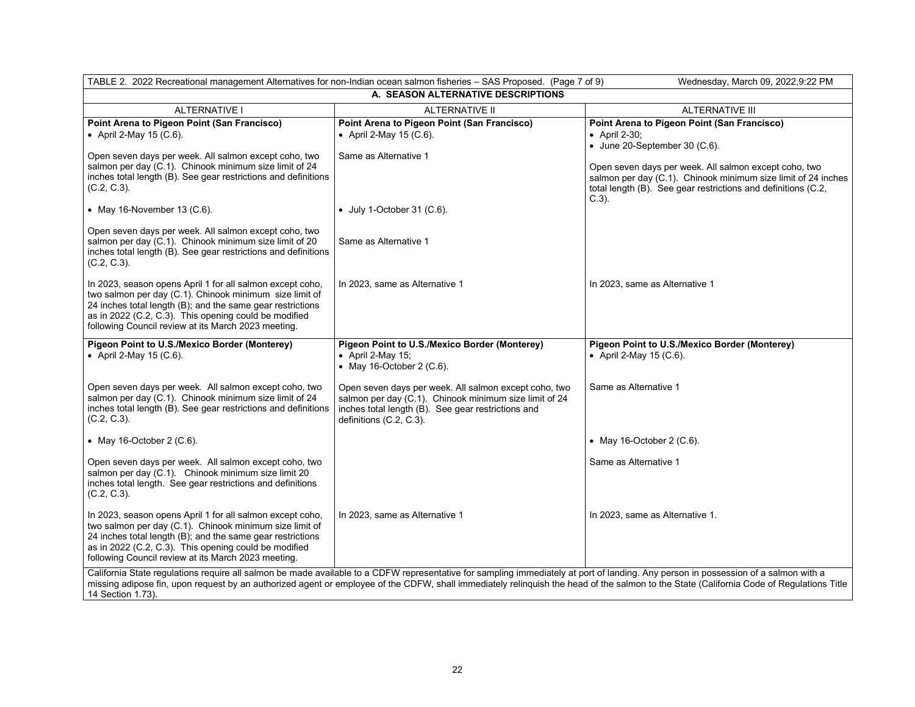| TABLE 2. 2022 Recreational management Alternatives for non-Indian ocean salmon fisheries - SAS Proposed. (Page 7 of 9)<br>Wednesday, March 09, 2022,9:22 PM                                                                                                                                                                                                                                          |                                                                                                                                                                                                  |                                                                                                                                                                                                     |  |  |
|------------------------------------------------------------------------------------------------------------------------------------------------------------------------------------------------------------------------------------------------------------------------------------------------------------------------------------------------------------------------------------------------------|--------------------------------------------------------------------------------------------------------------------------------------------------------------------------------------------------|-----------------------------------------------------------------------------------------------------------------------------------------------------------------------------------------------------|--|--|
| A. SEASON ALTERNATIVE DESCRIPTIONS                                                                                                                                                                                                                                                                                                                                                                   |                                                                                                                                                                                                  |                                                                                                                                                                                                     |  |  |
| <b>ALTERNATIVE I</b>                                                                                                                                                                                                                                                                                                                                                                                 | <b>ALTERNATIVE II</b>                                                                                                                                                                            | ALTERNATIVE III                                                                                                                                                                                     |  |  |
| Point Arena to Pigeon Point (San Francisco)<br>• April 2-May 15 (C.6).                                                                                                                                                                                                                                                                                                                               | Point Arena to Pigeon Point (San Francisco)<br>• April 2-May 15 (C.6).                                                                                                                           | <b>Point Arena to Pigeon Point (San Francisco)</b><br>• April 2-30;<br>$\bullet$ June 20-September 30 (C.6).                                                                                        |  |  |
| Open seven days per week. All salmon except coho, two<br>salmon per day (C.1). Chinook minimum size limit of 24<br>inches total length (B). See gear restrictions and definitions<br>$(C.2, C.3)$ .                                                                                                                                                                                                  | Same as Alternative 1                                                                                                                                                                            | Open seven days per week. All salmon except coho, two<br>salmon per day (C.1). Chinook minimum size limit of 24 inches<br>total length (B). See gear restrictions and definitions (C.2,<br>$C.3$ ). |  |  |
| • May 16-November 13 $(C.6)$ .                                                                                                                                                                                                                                                                                                                                                                       | $\bullet$ July 1-October 31 (C.6).                                                                                                                                                               |                                                                                                                                                                                                     |  |  |
| Open seven days per week. All salmon except coho, two<br>salmon per day (C.1). Chinook minimum size limit of 20<br>inches total length (B). See gear restrictions and definitions<br>$(C.2, C.3)$ .                                                                                                                                                                                                  | Same as Alternative 1                                                                                                                                                                            |                                                                                                                                                                                                     |  |  |
| In 2023, season opens April 1 for all salmon except coho,<br>two salmon per day (C.1). Chinook minimum size limit of<br>24 inches total length (B); and the same gear restrictions<br>as in 2022 (C.2, C.3). This opening could be modified<br>following Council review at its March 2023 meeting.                                                                                                   | In 2023, same as Alternative 1                                                                                                                                                                   | In 2023, same as Alternative 1                                                                                                                                                                      |  |  |
| Pigeon Point to U.S./Mexico Border (Monterey)<br>• April 2-May 15 (C.6).                                                                                                                                                                                                                                                                                                                             | Pigeon Point to U.S./Mexico Border (Monterey)<br>$\bullet$ April 2-May 15;<br>• May 16-October 2 $(C.6)$ .                                                                                       | Pigeon Point to U.S./Mexico Border (Monterey)<br>• April 2-May 15 (C.6).                                                                                                                            |  |  |
| Open seven days per week. All salmon except coho, two<br>salmon per day (C.1). Chinook minimum size limit of 24<br>inches total length (B). See gear restrictions and definitions<br>$(C.2, C.3)$ .                                                                                                                                                                                                  | Open seven days per week. All salmon except coho, two<br>salmon per day (C.1). Chinook minimum size limit of 24<br>inches total length (B). See gear restrictions and<br>definitions (C.2, C.3). | Same as Alternative 1                                                                                                                                                                               |  |  |
| • May 16-October 2 (C.6).                                                                                                                                                                                                                                                                                                                                                                            |                                                                                                                                                                                                  | • May 16-October 2 (C.6).                                                                                                                                                                           |  |  |
| Open seven days per week. All salmon except coho, two<br>salmon per day (C.1). Chinook minimum size limit 20<br>inches total length. See gear restrictions and definitions<br>$(C.2, C.3)$ .                                                                                                                                                                                                         |                                                                                                                                                                                                  | Same as Alternative 1                                                                                                                                                                               |  |  |
| In 2023, season opens April 1 for all salmon except coho,<br>two salmon per day (C.1). Chinook minimum size limit of<br>24 inches total length (B); and the same gear restrictions<br>as in 2022 (C.2, C.3). This opening could be modified<br>following Council review at its March 2023 meeting.                                                                                                   | In 2023, same as Alternative 1                                                                                                                                                                   | In 2023, same as Alternative 1.                                                                                                                                                                     |  |  |
| California State regulations require all salmon be made available to a CDFW representative for sampling immediately at port of landing. Any person in possession of a salmon with a<br>missing adipose fin, upon request by an authorized agent or employee of the CDFW, shall immediately relinquish the head of the salmon to the State (California Code of Regulations Title<br>14 Section 1.73). |                                                                                                                                                                                                  |                                                                                                                                                                                                     |  |  |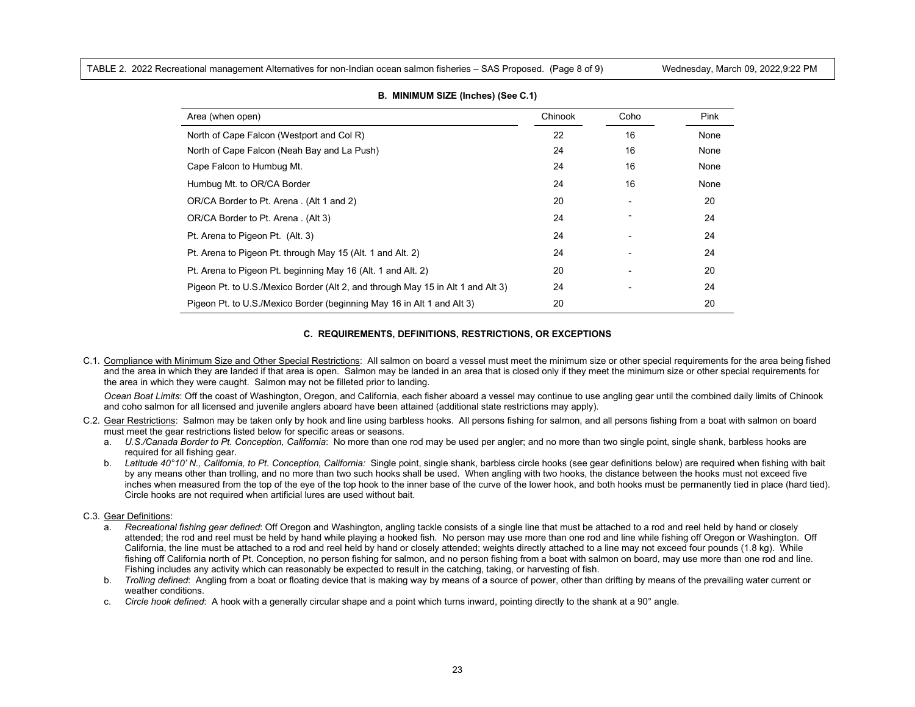TABLE 2. 2022 Recreational management Alternatives for non-Indian ocean salmon fisheries – SAS Proposed. (Page 8 of 9) Wednesday, March 09, 2022,9:22 PM

| Area (when open)                                                                | Chinook | Coho                     | Pink |
|---------------------------------------------------------------------------------|---------|--------------------------|------|
| North of Cape Falcon (Westport and Col R)                                       | 22      | 16                       | None |
| North of Cape Falcon (Neah Bay and La Push)                                     | 24      | 16                       | None |
| Cape Falcon to Humbug Mt.                                                       | 24      | 16                       | None |
| Humbug Mt. to OR/CA Border                                                      | 24      | 16                       | None |
| OR/CA Border to Pt. Arena. (Alt 1 and 2)                                        | 20      | $\overline{\phantom{a}}$ | 20   |
| OR/CA Border to Pt. Arena. (Alt 3)                                              | 24      | -                        | 24   |
| Pt. Arena to Pigeon Pt. (Alt. 3)                                                | 24      | $\blacksquare$           | 24   |
| Pt. Arena to Pigeon Pt. through May 15 (Alt. 1 and Alt. 2)                      | 24      |                          | 24   |
| Pt. Arena to Pigeon Pt. beginning May 16 (Alt. 1 and Alt. 2)                    | 20      |                          | 20   |
| Pigeon Pt. to U.S./Mexico Border (Alt 2, and through May 15 in Alt 1 and Alt 3) | 24      | ٠                        | 24   |
| Pigeon Pt. to U.S./Mexico Border (beginning May 16 in Alt 1 and Alt 3)          | 20      |                          | 20   |

## **B. MINIMUM SIZE (Inches) (See C.1)**

#### **C. REQUIREMENTS, DEFINITIONS, RESTRICTIONS, OR EXCEPTIONS**

C.1. Compliance with Minimum Size and Other Special Restrictions: All salmon on board a vessel must meet the minimum size or other special requirements for the area being fished and the area in which they are landed if that area is open. Salmon may be landed in an area that is closed only if they meet the minimum size or other special requirements for the area in which they were caught. Salmon may not be filleted prior to landing.

*Ocean Boat Limits*: Off the coast of Washington, Oregon, and California, each fisher aboard a vessel may continue to use angling gear until the combined daily limits of Chinook and coho salmon for all licensed and juvenile anglers aboard have been attained (additional state restrictions may apply).

- C.2. Gear Restrictions: Salmon may be taken only by hook and line using barbless hooks. All persons fishing for salmon, and all persons fishing from a boat with salmon on board must meet the gear restrictions listed below for specific areas or seasons.
	- a. *U.S./Canada Border to Pt. Conception, California*: No more than one rod may be used per angler; and no more than two single point, single shank, barbless hooks are required for all fishing gear.
	- b. Latitude 40°10' N., California, to Pt. Conception, California: Single point, single shank, barbless circle hooks (see gear definitions below) are required when fishing with bait by any means other than trolling, and no more than two such hooks shall be used. When angling with two hooks, the distance between the hooks must not exceed five inches when measured from the top of the eye of the top hook to the inner base of the curve of the lower hook, and both hooks must be permanently tied in place (hard tied). Circle hooks are not required when artificial lures are used without bait.

## C.3. Gear Definitions:

- a. *Recreational fishing gear defined*: Off Oregon and Washington, angling tackle consists of a single line that must be attached to a rod and reel held by hand or closely attended; the rod and reel must be held by hand while playing a hooked fish. No person may use more than one rod and line while fishing off Oregon or Washington. Off California, the line must be attached to a rod and reel held by hand or closely attended; weights directly attached to a line may not exceed four pounds (1.8 kg). While fishing off California north of Pt. Conception, no person fishing for salmon, and no person fishing from a boat with salmon on board, may use more than one rod and line. Fishing includes any activity which can reasonably be expected to result in the catching, taking, or harvesting of fish.
- b. *Trolling defined*: Angling from a boat or floating device that is making way by means of a source of power, other than drifting by means of the prevailing water current or weather conditions.
- c. *Circle hook defined*: A hook with a generally circular shape and a point which turns inward, pointing directly to the shank at a 90° angle.